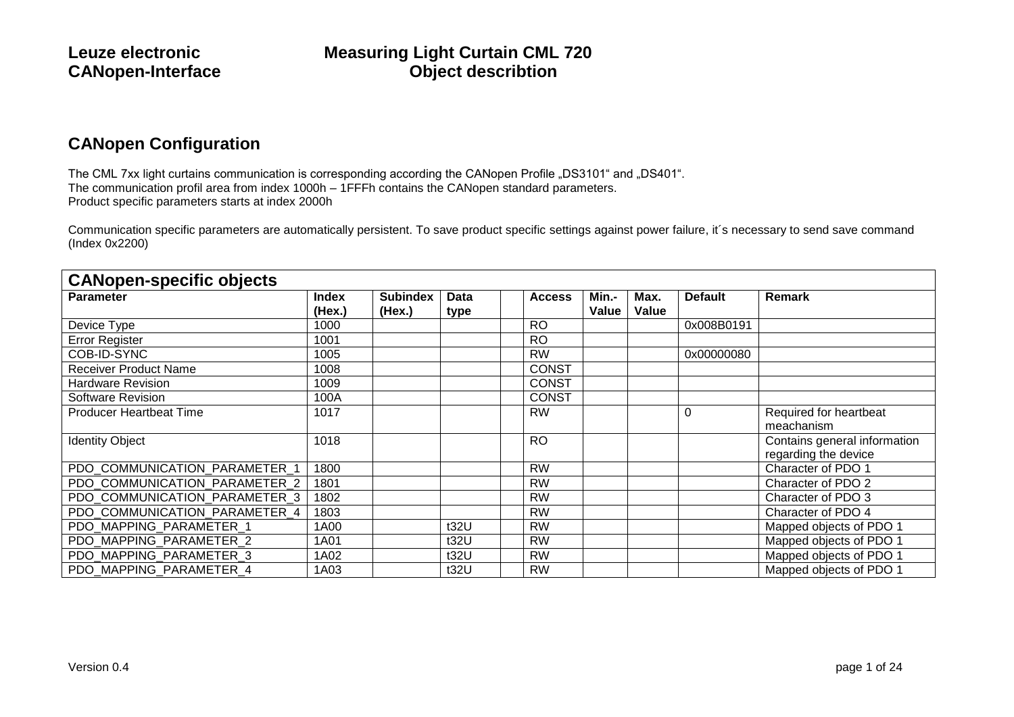### **CANopen Configuration**

The CML 7xx light curtains communication is corresponding according the CANopen Profile "DS3101" and "DS401". The communication profil area from index 1000h – 1FFFh contains the CANopen standard parameters. Product specific parameters starts at index 2000h

Communication specific parameters are automatically persistent. To save product specific settings against power failure, it´s necessary to send save command (Index 0x2200)

| <b>CANopen-specific objects</b> |                        |                           |              |               |                |               |                |                                                      |  |  |
|---------------------------------|------------------------|---------------------------|--------------|---------------|----------------|---------------|----------------|------------------------------------------------------|--|--|
| <b>Parameter</b>                | <b>Index</b><br>(Hex.) | <b>Subindex</b><br>(Hex.) | Data<br>type | <b>Access</b> | Min.-<br>Value | Max.<br>Value | <b>Default</b> | Remark                                               |  |  |
| Device Type                     | 1000                   |                           |              | <b>RO</b>     |                |               | 0x008B0191     |                                                      |  |  |
| <b>Error Register</b>           | 1001                   |                           |              | <b>RO</b>     |                |               |                |                                                      |  |  |
| COB-ID-SYNC                     | 1005                   |                           |              | <b>RW</b>     |                |               | 0x00000080     |                                                      |  |  |
| <b>Receiver Product Name</b>    | 1008                   |                           |              | <b>CONST</b>  |                |               |                |                                                      |  |  |
| <b>Hardware Revision</b>        | 1009                   |                           |              | <b>CONST</b>  |                |               |                |                                                      |  |  |
| <b>Software Revision</b>        | 100A                   |                           |              | <b>CONST</b>  |                |               |                |                                                      |  |  |
| <b>Producer Heartbeat Time</b>  | 1017                   |                           |              | <b>RW</b>     |                |               | 0              | Required for heartbeat<br>meachanism                 |  |  |
| <b>Identity Object</b>          | 1018                   |                           |              | <b>RO</b>     |                |               |                | Contains general information<br>regarding the device |  |  |
| PDO COMMUNICATION PARAMETER 1   | 1800                   |                           |              | <b>RW</b>     |                |               |                | Character of PDO 1                                   |  |  |
| PDO COMMUNICATION PARAMETER 2   | 1801                   |                           |              | <b>RW</b>     |                |               |                | Character of PDO 2                                   |  |  |
| PDO COMMUNICATION PARAMETER 3   | 1802                   |                           |              | <b>RW</b>     |                |               |                | Character of PDO 3                                   |  |  |
| PDO COMMUNICATION_PARAMETER_4   | 1803                   |                           |              | <b>RW</b>     |                |               |                | Character of PDO 4                                   |  |  |
| PDO MAPPING PARAMETER 1         | 1A00                   |                           | t32U         | <b>RW</b>     |                |               |                | Mapped objects of PDO 1                              |  |  |
| PDO MAPPING PARAMETER 2         | 1A01                   |                           | t32U         | <b>RW</b>     |                |               |                | Mapped objects of PDO 1                              |  |  |
| PDO MAPPING PARAMETER 3         | 1A02                   |                           | t32U         | <b>RW</b>     |                |               |                | Mapped objects of PDO 1                              |  |  |
| PDO_MAPPING_PARAMETER_4         | 1A03                   |                           | t32U         | <b>RW</b>     |                |               |                | Mapped objects of PDO 1                              |  |  |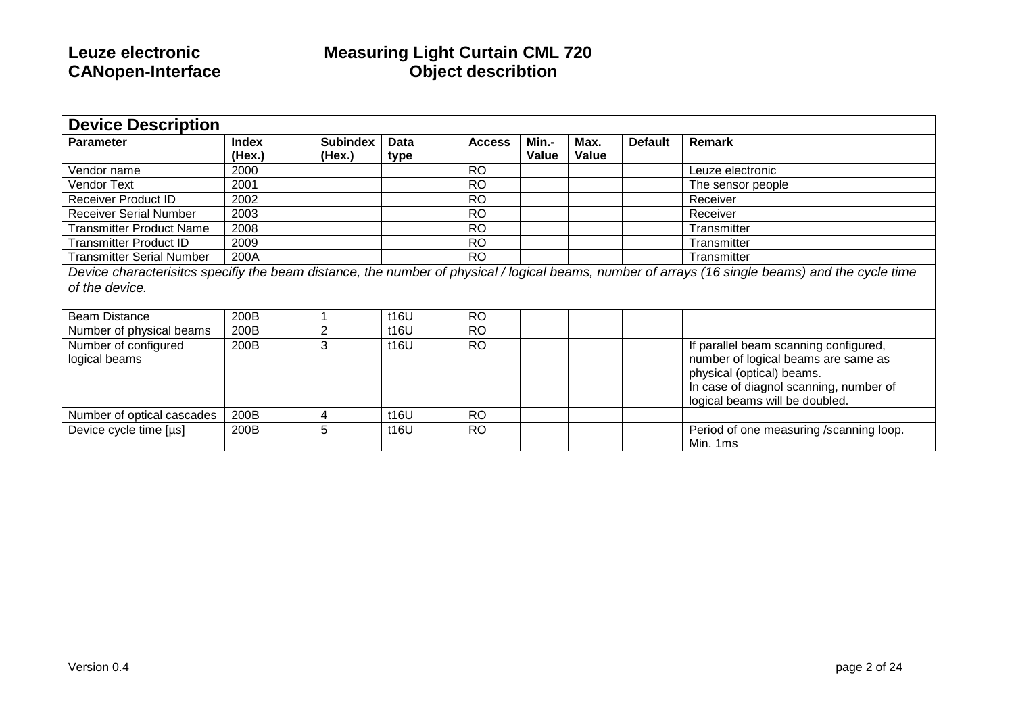| <b>Device Description</b>             |                        |                           |              |               |                |               |                |                                                                                                                                                                                       |  |  |
|---------------------------------------|------------------------|---------------------------|--------------|---------------|----------------|---------------|----------------|---------------------------------------------------------------------------------------------------------------------------------------------------------------------------------------|--|--|
| <b>Parameter</b>                      | <b>Index</b><br>(Hex.) | <b>Subindex</b><br>(Hex.) | Data<br>type | <b>Access</b> | Min.-<br>Value | Max.<br>Value | <b>Default</b> | Remark                                                                                                                                                                                |  |  |
| Vendor name                           | 2000                   |                           |              | <b>RO</b>     |                |               |                | Leuze electronic                                                                                                                                                                      |  |  |
| <b>Vendor Text</b>                    | 2001                   |                           |              | <b>RO</b>     |                |               |                | The sensor people                                                                                                                                                                     |  |  |
| <b>Receiver Product ID</b>            | 2002                   |                           |              | <b>RO</b>     |                |               |                | Receiver                                                                                                                                                                              |  |  |
| <b>Receiver Serial Number</b>         | 2003                   |                           |              | <b>RO</b>     |                |               |                | Receiver                                                                                                                                                                              |  |  |
| <b>Transmitter Product Name</b>       | 2008                   |                           |              | <b>RO</b>     |                |               |                | Transmitter                                                                                                                                                                           |  |  |
| <b>Transmitter Product ID</b>         | 2009                   |                           |              | <b>RO</b>     |                |               |                | Transmitter                                                                                                                                                                           |  |  |
| <b>Transmitter Serial Number</b>      | 200A                   |                           |              | <b>RO</b>     |                |               |                | Transmitter                                                                                                                                                                           |  |  |
| of the device.                        |                        |                           |              |               |                |               |                | Device characterisitcs specifiy the beam distance, the number of physical / logical beams, number of arrays (16 single beams) and the cycle time                                      |  |  |
| <b>Beam Distance</b>                  | 200B                   | 1                         | 116U         | <b>RO</b>     |                |               |                |                                                                                                                                                                                       |  |  |
| Number of physical beams              | 200B                   | $\overline{2}$            | t16U         | <b>RO</b>     |                |               |                |                                                                                                                                                                                       |  |  |
| Number of configured<br>logical beams | 200B                   | 3                         | t16U         | <b>RO</b>     |                |               |                | If parallel beam scanning configured,<br>number of logical beams are same as<br>physical (optical) beams.<br>In case of diagnol scanning, number of<br>logical beams will be doubled. |  |  |
| Number of optical cascades            | 200B                   | 4                         | t16U         | <b>RO</b>     |                |               |                |                                                                                                                                                                                       |  |  |
| Device cycle time [µs]                | 200B                   | 5                         | 116U         | <b>RO</b>     |                |               |                | Period of one measuring /scanning loop.<br>Min. 1ms                                                                                                                                   |  |  |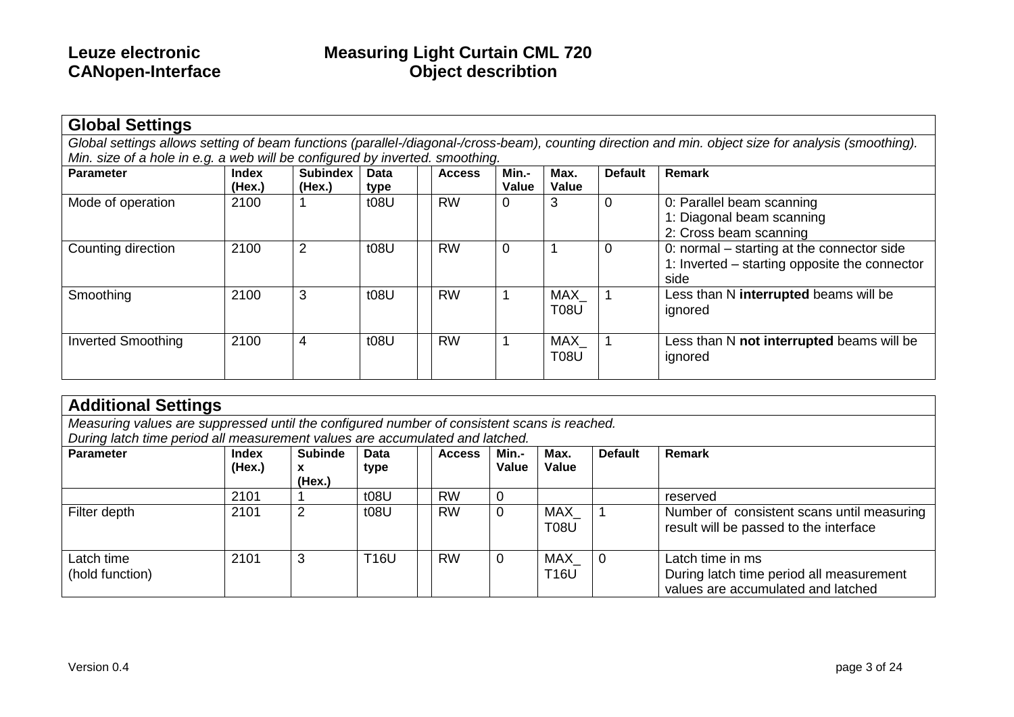| <b>Global Settings</b>                                                       |                 |                           |              |               |                |                    |                |                                                                                                                                                      |  |  |  |
|------------------------------------------------------------------------------|-----------------|---------------------------|--------------|---------------|----------------|--------------------|----------------|------------------------------------------------------------------------------------------------------------------------------------------------------|--|--|--|
|                                                                              |                 |                           |              |               |                |                    |                | Global settings allows setting of beam functions (parallel-/diagonal-/cross-beam), counting direction and min. object size for analysis (smoothing). |  |  |  |
| Min. size of a hole in e.g. a web will be configured by inverted. smoothing. |                 |                           |              |               |                |                    |                |                                                                                                                                                      |  |  |  |
| <b>Parameter</b>                                                             | Index<br>(Hex.) | <b>Subindex</b><br>(Hex.) | Data<br>type | <b>Access</b> | Min.-<br>Value | Max.<br>Value      | <b>Default</b> | <b>Remark</b>                                                                                                                                        |  |  |  |
| Mode of operation                                                            | 2100            |                           | t08U         | <b>RW</b>     | 0              | 3                  |                | 0: Parallel beam scanning<br>1: Diagonal beam scanning<br>2: Cross beam scanning                                                                     |  |  |  |
| Counting direction                                                           | 2100            | 2                         | t08U         | <b>RW</b>     | 0              |                    | 0              | 0: normal – starting at the connector side<br>1: Inverted – starting opposite the connector<br>side                                                  |  |  |  |
| Smoothing                                                                    | 2100            | 3                         | t08U         | <b>RW</b>     |                | MAX<br><b>T08U</b> |                | Less than N interrupted beams will be<br>ignored                                                                                                     |  |  |  |
| <b>Inverted Smoothing</b>                                                    | 2100            | 4                         | t08U         | <b>RW</b>     |                | MAX<br><b>T08U</b> |                | Less than N not interrupted beams will be<br>ignored                                                                                                 |  |  |  |

| <b>Additional Settings</b>                                                                                        |                                                                                                                                                                                    |                |      |           |       |                    |  |                                                                                      |  |  |  |
|-------------------------------------------------------------------------------------------------------------------|------------------------------------------------------------------------------------------------------------------------------------------------------------------------------------|----------------|------|-----------|-------|--------------------|--|--------------------------------------------------------------------------------------|--|--|--|
| Measuring values are suppressed until the configured number of consistent scans is reached.                       |                                                                                                                                                                                    |                |      |           |       |                    |  |                                                                                      |  |  |  |
| During latch time period all measurement values are accumulated and latched.                                      |                                                                                                                                                                                    |                |      |           |       |                    |  |                                                                                      |  |  |  |
| <b>Parameter</b><br><b>Subinde</b><br><b>Default</b><br>Remark<br>Min.-<br>Max.<br>Data<br>Index<br><b>Access</b> |                                                                                                                                                                                    |                |      |           |       |                    |  |                                                                                      |  |  |  |
|                                                                                                                   | (Hex.)                                                                                                                                                                             | x<br>(Hex.)    | type |           | Value | Value              |  |                                                                                      |  |  |  |
|                                                                                                                   | 2101                                                                                                                                                                               |                | t08U | <b>RW</b> | 0     |                    |  | reserved                                                                             |  |  |  |
| Filter depth                                                                                                      | 2101                                                                                                                                                                               | $\overline{2}$ | t08U | <b>RW</b> | 0     | MAX<br><b>T08U</b> |  | Number of consistent scans until measuring<br>result will be passed to the interface |  |  |  |
| Latch time<br>(hold function)                                                                                     | Latch time in ms<br>3<br><b>RW</b><br><b>T16U</b><br>2101<br>MAX<br>0<br>$\Omega$<br>During latch time period all measurement<br><b>T16U</b><br>values are accumulated and latched |                |      |           |       |                    |  |                                                                                      |  |  |  |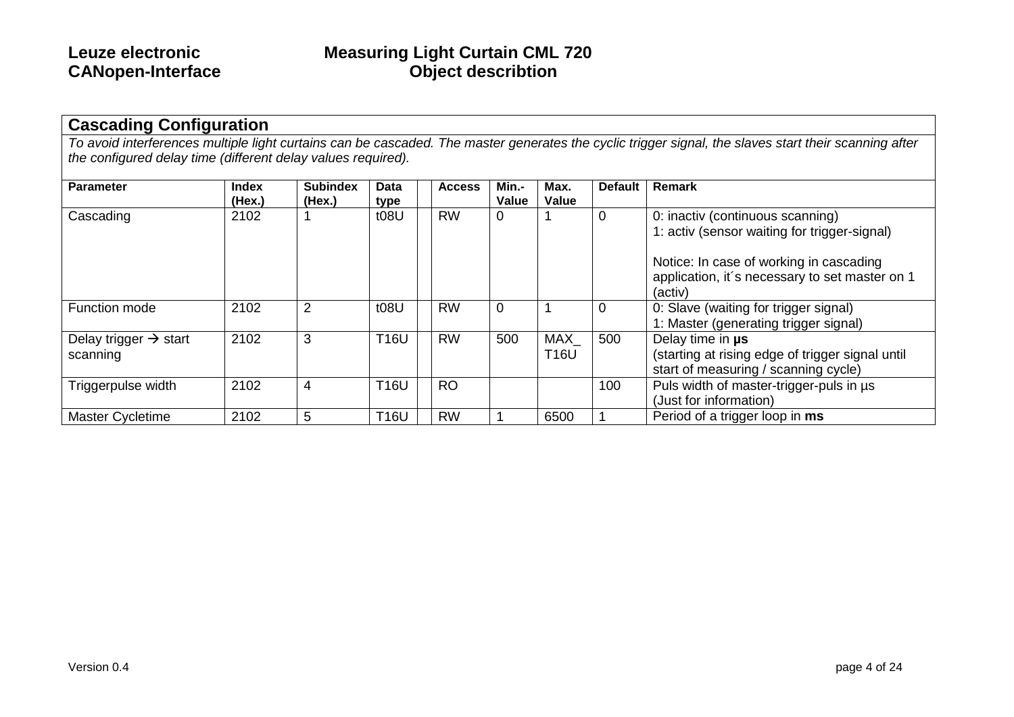### **Cascading Configuration**

*To avoid interferences multiple light curtains can be cascaded. The master generates the cyclic trigger signal, the slaves start their scanning after the configured delay time (different delay values required).*

| <b>Parameter</b>                              | <b>Index</b><br>(Hex.) | <b>Subindex</b><br>(Hex.) | <b>Data</b><br>type | <b>Access</b> | Min.-<br>Value | Max.<br>Value             | <b>Default</b> | Remark                                                                                                       |
|-----------------------------------------------|------------------------|---------------------------|---------------------|---------------|----------------|---------------------------|----------------|--------------------------------------------------------------------------------------------------------------|
| Cascading                                     | 2102                   |                           | t08U                | <b>RW</b>     | 0              |                           | 0              | 0: inactiv (continuous scanning)<br>1: activ (sensor waiting for trigger-signal)                             |
|                                               |                        |                           |                     |               |                |                           |                | Notice: In case of working in cascading<br>application, it's necessary to set master on 1<br>(activ)         |
| <b>Function mode</b>                          | 2102                   | $\overline{2}$            | t08U                | <b>RW</b>     | $\overline{0}$ |                           | $\mathbf 0$    | 0: Slave (waiting for trigger signal)<br>1: Master (generating trigger signal)                               |
| Delay trigger $\rightarrow$ start<br>scanning | 2102                   | 3                         | <b>T16U</b>         | <b>RW</b>     | 500            | <b>MAX</b><br><b>T16U</b> | 500            | Delay time in us<br>(starting at rising edge of trigger signal until<br>start of measuring / scanning cycle) |
| Triggerpulse width                            | 2102                   | 4                         | <b>T16U</b>         | <b>RO</b>     |                |                           | 100            | Puls width of master-trigger-puls in us<br>(Just for information)                                            |
| <b>Master Cycletime</b>                       | 2102                   | 5                         | T16U                | <b>RW</b>     |                | 6500                      |                | Period of a trigger loop in ms                                                                               |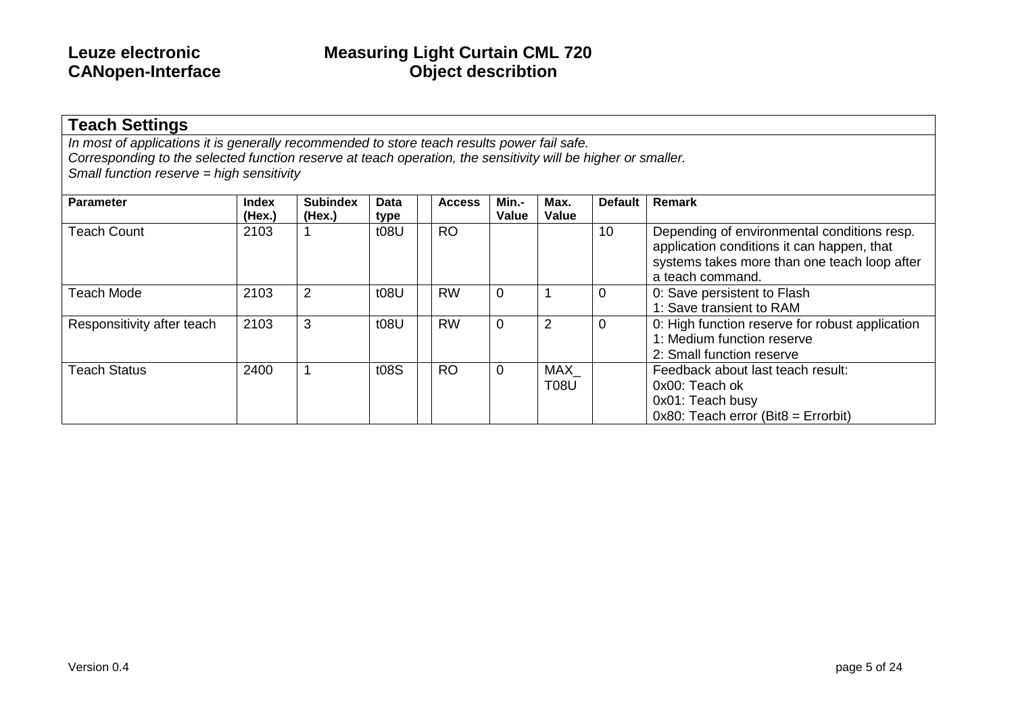### **Teach Settings**

*In most of applications it is generally recommended to store teach results power fail safe. Corresponding to the selected function reserve at teach operation, the sensitivity will be higher or smaller. Small function reserve = high sensitivity*

| <b>Parameter</b>           | <b>Index</b><br>(Hex.) | <b>Subindex</b><br>(Hex.) | Data<br>type | <b>Access</b> | Min.-<br>Value | Max.<br>Value      | <b>Default</b> | Remark                                                                                                                                                        |
|----------------------------|------------------------|---------------------------|--------------|---------------|----------------|--------------------|----------------|---------------------------------------------------------------------------------------------------------------------------------------------------------------|
| <b>Teach Count</b>         | 2103                   |                           | t08U         | <b>RO</b>     |                |                    | 10             | Depending of environmental conditions resp.<br>application conditions it can happen, that<br>systems takes more than one teach loop after<br>a teach command. |
| Teach Mode                 | 2103                   | 2                         | t08U         | <b>RW</b>     | 0              |                    | 0              | 0: Save persistent to Flash<br>1: Save transient to RAM                                                                                                       |
| Responsitivity after teach | 2103                   | 3                         | t08U         | <b>RW</b>     | $\overline{0}$ | 2                  | $\overline{0}$ | 0: High function reserve for robust application<br>1: Medium function reserve<br>2: Small function reserve                                                    |
| <b>Teach Status</b>        | 2400                   |                           | t08S         | <b>RO</b>     | $\overline{0}$ | MAX<br><b>T08U</b> |                | Feedback about last teach result:<br>0x00: Teach ok<br>0x01: Teach busy<br>$0x80$ : Teach error (Bit $8 =$ Errorbit)                                          |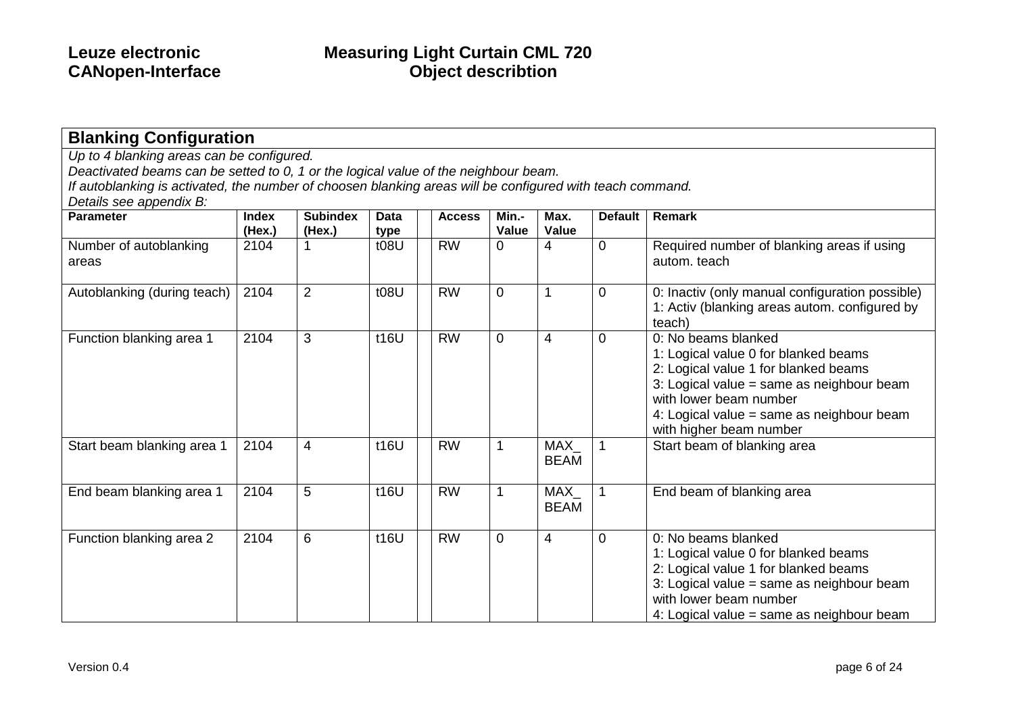| Up to 4 blanking areas can be configured.                                                                 |                        |                           |              |               |                |                    |                |                                                                                                                                                                                                                                                    |
|-----------------------------------------------------------------------------------------------------------|------------------------|---------------------------|--------------|---------------|----------------|--------------------|----------------|----------------------------------------------------------------------------------------------------------------------------------------------------------------------------------------------------------------------------------------------------|
| Deactivated beams can be setted to 0, 1 or the logical value of the neighbour beam.                       |                        |                           |              |               |                |                    |                |                                                                                                                                                                                                                                                    |
| If autoblanking is activated, the number of choosen blanking areas will be configured with teach command. |                        |                           |              |               |                |                    |                |                                                                                                                                                                                                                                                    |
| Details see appendix B:                                                                                   |                        |                           |              |               |                |                    |                |                                                                                                                                                                                                                                                    |
| <b>Parameter</b>                                                                                          | <b>Index</b><br>(Hex.) | <b>Subindex</b><br>(Hex.) | Data<br>type | <b>Access</b> | Min.-<br>Value | Max.<br>Value      | <b>Default</b> | Remark                                                                                                                                                                                                                                             |
| Number of autoblanking<br>areas                                                                           | 2104                   |                           | t08U         | <b>RW</b>     | $\overline{0}$ | 4                  | $\overline{0}$ | Required number of blanking areas if using<br>autom, teach                                                                                                                                                                                         |
| Autoblanking (during teach)                                                                               | 2104                   | $\overline{2}$            | t08U         | <b>RW</b>     | $\overline{0}$ |                    | $\mathbf 0$    | 0: Inactiv (only manual configuration possible)<br>1: Activ (blanking areas autom. configured by<br>teach)                                                                                                                                         |
| Function blanking area 1                                                                                  | 2104                   | 3                         | t16U         | <b>RW</b>     | $\overline{0}$ | 4                  | $\overline{0}$ | 0: No beams blanked<br>1: Logical value 0 for blanked beams<br>2: Logical value 1 for blanked beams<br>3: Logical value = same as neighbour beam<br>with lower beam number<br>4: Logical value = same as neighbour beam<br>with higher beam number |
| Start beam blanking area 1                                                                                | 2104                   | $\overline{4}$            | t16U         | <b>RW</b>     | 1              | MAX<br><b>BEAM</b> |                | Start beam of blanking area                                                                                                                                                                                                                        |
| End beam blanking area 1                                                                                  | 2104                   | 5                         | t16U         | <b>RW</b>     | 1              | MAX<br><b>BEAM</b> |                | End beam of blanking area                                                                                                                                                                                                                          |
| Function blanking area 2                                                                                  | 2104                   | 6                         | t16U         | <b>RW</b>     | $\overline{0}$ | 4                  | $\mathbf 0$    | 0: No beams blanked<br>1: Logical value 0 for blanked beams<br>2: Logical value 1 for blanked beams<br>3: Logical value = same as neighbour beam<br>with lower beam number<br>4: Logical value = same as neighbour beam                            |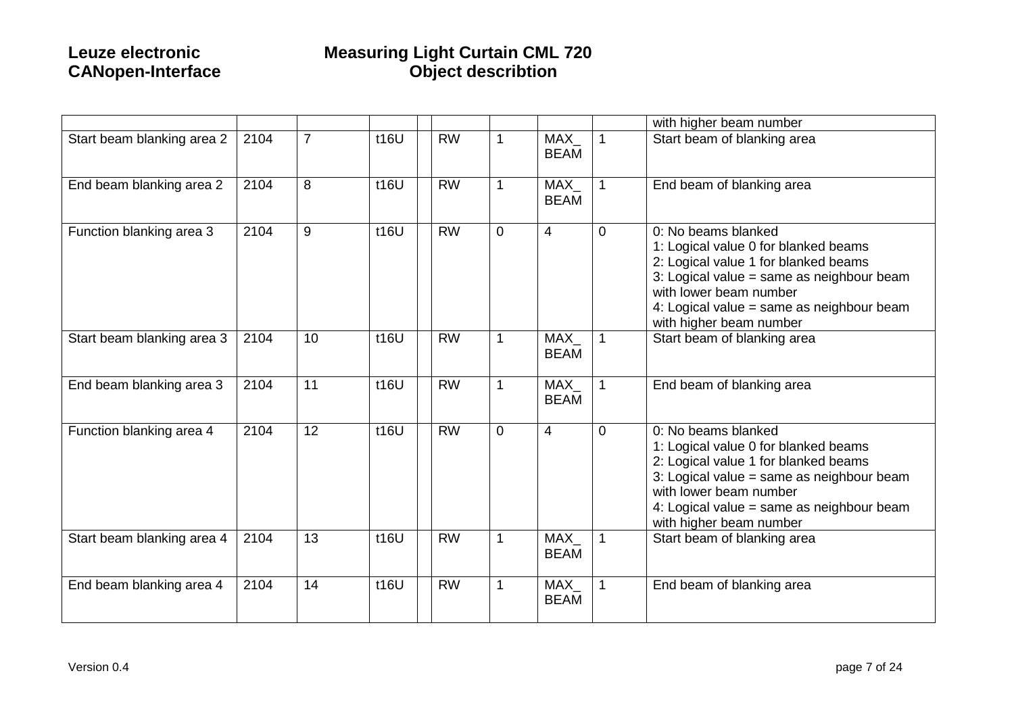|                            |      |    |      |                 |                |                    |                | with higher beam number                                                                                                                                                                                                                            |
|----------------------------|------|----|------|-----------------|----------------|--------------------|----------------|----------------------------------------------------------------------------------------------------------------------------------------------------------------------------------------------------------------------------------------------------|
| Start beam blanking area 2 | 2104 | 7  | t16U | <b>RW</b>       |                | MAX<br><b>BEAM</b> | $\overline{1}$ | Start beam of blanking area                                                                                                                                                                                                                        |
| End beam blanking area 2   | 2104 | 8  | t16U | <b>RW</b>       |                | MAX<br><b>BEAM</b> | $\overline{1}$ | End beam of blanking area                                                                                                                                                                                                                          |
| Function blanking area 3   | 2104 | 9  | t16U | <b>RW</b>       | $\overline{0}$ | $\overline{4}$     | $\mathbf 0$    | 0: No beams blanked<br>1: Logical value 0 for blanked beams<br>2: Logical value 1 for blanked beams<br>3: Logical value = same as neighbour beam<br>with lower beam number<br>4: Logical value = same as neighbour beam<br>with higher beam number |
| Start beam blanking area 3 | 2104 | 10 | t16U | $\overline{RW}$ | 1              | MAX<br><b>BEAM</b> | $\mathbf 1$    | Start beam of blanking area                                                                                                                                                                                                                        |
| End beam blanking area 3   | 2104 | 11 | t16U | <b>RW</b>       | 1              | MAX<br><b>BEAM</b> | $\mathbf{1}$   | End beam of blanking area                                                                                                                                                                                                                          |
| Function blanking area 4   | 2104 | 12 | t16U | <b>RW</b>       | $\overline{0}$ | $\overline{4}$     | $\mathbf 0$    | 0: No beams blanked<br>1: Logical value 0 for blanked beams<br>2: Logical value 1 for blanked beams<br>3: Logical value = same as neighbour beam<br>with lower beam number<br>4: Logical value = same as neighbour beam<br>with higher beam number |
| Start beam blanking area 4 | 2104 | 13 | t16U | <b>RW</b>       |                | MAX<br><b>BEAM</b> | $\mathbf{1}$   | Start beam of blanking area                                                                                                                                                                                                                        |
| End beam blanking area 4   | 2104 | 14 | t16U | <b>RW</b>       | 1              | MAX<br><b>BEAM</b> | $\overline{1}$ | End beam of blanking area                                                                                                                                                                                                                          |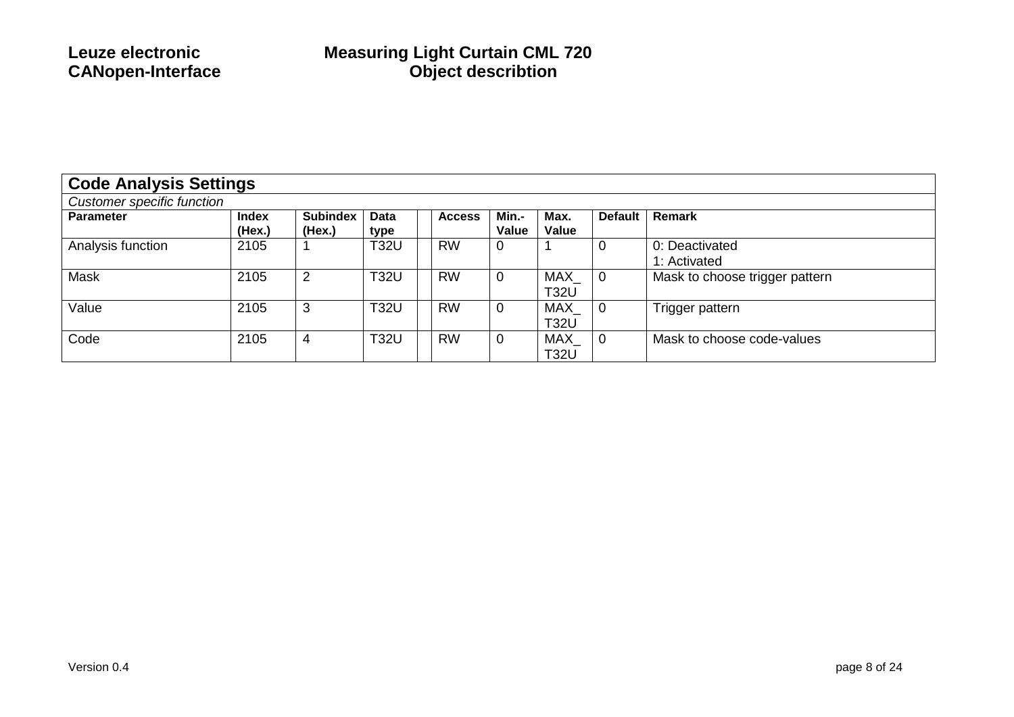| <b>Code Analysis Settings</b> |                        |                           |              |               |                |                           |                |                                |  |  |
|-------------------------------|------------------------|---------------------------|--------------|---------------|----------------|---------------------------|----------------|--------------------------------|--|--|
| Customer specific function    |                        |                           |              |               |                |                           |                |                                |  |  |
| <b>Parameter</b>              | <b>Index</b><br>(Hex.) | <b>Subindex</b><br>(Hex.) | Data<br>type | <b>Access</b> | Min.-<br>Value | Max.<br>Value             | <b>Default</b> | Remark                         |  |  |
| Analysis function             | 2105                   |                           | <b>T32U</b>  | <b>RW</b>     | 0              |                           | 0              | 0: Deactivated<br>1: Activated |  |  |
| Mask                          | 2105                   | $\overline{2}$            | <b>T32U</b>  | <b>RW</b>     | $\mathbf 0$    | MAX<br><b>T32U</b>        | $\overline{0}$ | Mask to choose trigger pattern |  |  |
| Value                         | 2105                   | 3                         | <b>T32U</b>  | <b>RW</b>     | 0              | MAX<br><b>T32U</b>        | $\overline{0}$ | Trigger pattern                |  |  |
| Code                          | 2105                   | 4                         | <b>T32U</b>  | <b>RW</b>     | 0              | <b>MAX</b><br><b>T32U</b> | $\overline{0}$ | Mask to choose code-values     |  |  |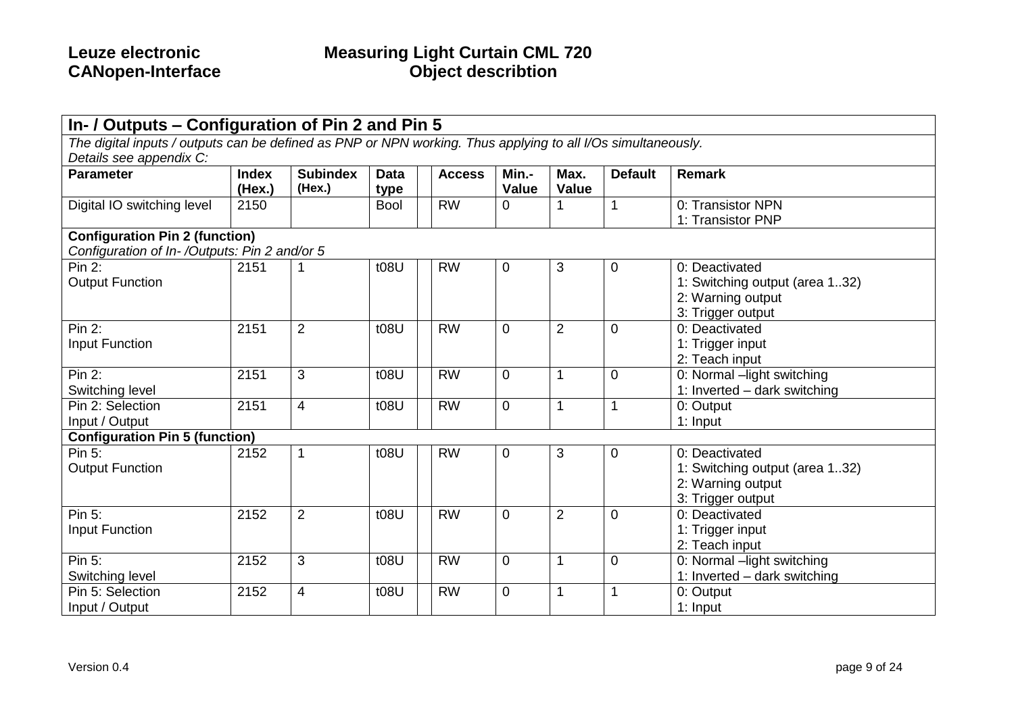| In- / Outputs – Configuration of Pin 2 and Pin 5                                                             |              |                 |             |               |                |                |                |                                |  |  |  |
|--------------------------------------------------------------------------------------------------------------|--------------|-----------------|-------------|---------------|----------------|----------------|----------------|--------------------------------|--|--|--|
| The digital inputs / outputs can be defined as PNP or NPN working. Thus applying to all I/Os simultaneously. |              |                 |             |               |                |                |                |                                |  |  |  |
| Details see appendix C:                                                                                      |              |                 |             |               |                |                |                |                                |  |  |  |
| <b>Parameter</b>                                                                                             | <b>Index</b> | <b>Subindex</b> | <b>Data</b> | <b>Access</b> | Min.-          | Max.           | <b>Default</b> | <b>Remark</b>                  |  |  |  |
|                                                                                                              | (Hex.)       | (Hex.)          | type        |               | <b>Value</b>   | <b>Value</b>   |                |                                |  |  |  |
| Digital IO switching level                                                                                   | 2150         |                 | <b>Bool</b> | <b>RW</b>     | 0              |                | $\mathbf{1}$   | 0: Transistor NPN              |  |  |  |
|                                                                                                              |              |                 |             |               |                |                |                | 1: Transistor PNP              |  |  |  |
| <b>Configuration Pin 2 (function)</b>                                                                        |              |                 |             |               |                |                |                |                                |  |  |  |
| Configuration of In-/Outputs: Pin 2 and/or 5                                                                 |              |                 |             |               |                |                |                |                                |  |  |  |
| Pin 2:                                                                                                       | 2151         |                 | t08U        | <b>RW</b>     | $\mathbf 0$    | 3              | $\mathbf 0$    | 0: Deactivated                 |  |  |  |
| <b>Output Function</b>                                                                                       |              |                 |             |               |                |                |                | 1: Switching output (area 132) |  |  |  |
|                                                                                                              |              |                 |             |               |                |                |                | 2: Warning output              |  |  |  |
|                                                                                                              |              |                 |             |               |                |                |                | 3: Trigger output              |  |  |  |
| <b>Pin 2:</b>                                                                                                | 2151         | $\overline{2}$  | t08U        | <b>RW</b>     | $\overline{0}$ | $\overline{2}$ | $\mathbf 0$    | 0: Deactivated                 |  |  |  |
| <b>Input Function</b>                                                                                        |              |                 |             |               |                |                |                | 1: Trigger input               |  |  |  |
|                                                                                                              |              |                 |             |               |                |                |                | 2: Teach input                 |  |  |  |
| Pin 2:                                                                                                       | 2151         | 3               | t08U        | <b>RW</b>     | $\overline{0}$ | 1              | $\overline{0}$ | 0: Normal -light switching     |  |  |  |
| Switching level                                                                                              |              |                 |             |               |                |                |                | 1: Inverted - dark switching   |  |  |  |
| Pin 2: Selection                                                                                             | 2151         | $\overline{4}$  | t08U        | <b>RW</b>     | $\overline{0}$ | 1              | 1              | 0: Output                      |  |  |  |
| Input / Output                                                                                               |              |                 |             |               |                |                |                | 1: Input                       |  |  |  |
| <b>Configuration Pin 5 (function)</b>                                                                        |              |                 |             |               |                |                |                |                                |  |  |  |
| Pin 5:                                                                                                       | 2152         |                 | t08U        | <b>RW</b>     | $\mathbf 0$    | 3              | $\mathbf 0$    | 0: Deactivated                 |  |  |  |
| <b>Output Function</b>                                                                                       |              |                 |             |               |                |                |                | 1: Switching output (area 132) |  |  |  |
|                                                                                                              |              |                 |             |               |                |                |                | 2: Warning output              |  |  |  |
|                                                                                                              |              |                 |             |               |                |                |                | 3: Trigger output              |  |  |  |
| Pin 5:                                                                                                       | 2152         | $\overline{2}$  | t08U        | <b>RW</b>     | $\overline{0}$ | $\overline{2}$ | $\mathbf 0$    | 0: Deactivated                 |  |  |  |
| Input Function                                                                                               |              |                 |             |               |                |                |                | 1: Trigger input               |  |  |  |
|                                                                                                              |              |                 |             |               |                |                |                | 2: Teach input                 |  |  |  |
| Pin 5:                                                                                                       | 2152         | 3               | t08U        | <b>RW</b>     | $\mathbf 0$    | 1              | $\mathbf 0$    | 0: Normal -light switching     |  |  |  |
| Switching level                                                                                              |              |                 |             |               |                |                |                | 1: Inverted - dark switching   |  |  |  |
| Pin 5: Selection                                                                                             | 2152         | $\overline{4}$  | t08U        | <b>RW</b>     | $\overline{0}$ | 1              | 1              | 0: Output                      |  |  |  |
| Input / Output                                                                                               |              |                 |             |               |                |                |                | 1: Input                       |  |  |  |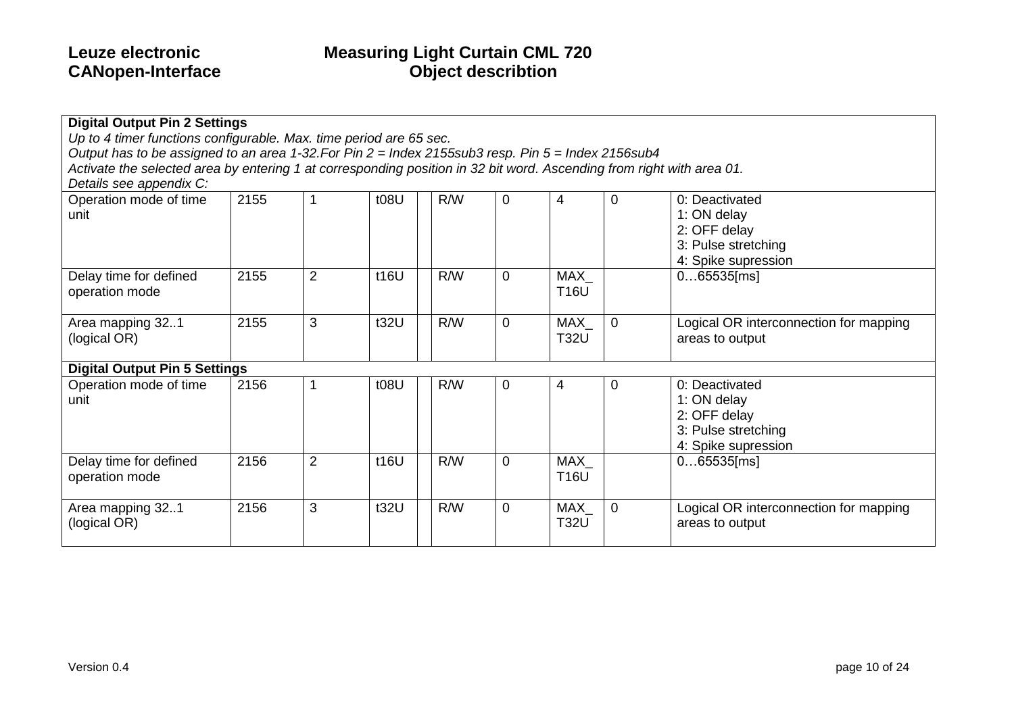| <b>Digital Output Pin 2 Settings</b><br>Up to 4 timer functions configurable. Max. time period are 65 sec.            |      |                |      |     |                |             |                |                                        |
|-----------------------------------------------------------------------------------------------------------------------|------|----------------|------|-----|----------------|-------------|----------------|----------------------------------------|
| Output has to be assigned to an area 1-32. For Pin $2 =$ Index 2155sub3 resp. Pin $5 =$ Index 2156sub4                |      |                |      |     |                |             |                |                                        |
| Activate the selected area by entering 1 at corresponding position in 32 bit word. Ascending from right with area 01. |      |                |      |     |                |             |                |                                        |
| Details see appendix C:                                                                                               |      |                |      |     |                |             |                |                                        |
| Operation mode of time                                                                                                | 2155 |                | t08U | R/W | 0              | 4           | $\mathbf 0$    | 0: Deactivated                         |
| unit                                                                                                                  |      |                |      |     |                |             |                | 1: ON delay                            |
|                                                                                                                       |      |                |      |     |                |             |                | 2: OFF delay                           |
|                                                                                                                       |      |                |      |     |                |             |                | 3: Pulse stretching                    |
|                                                                                                                       |      |                |      |     |                |             |                | 4: Spike supression                    |
| Delay time for defined                                                                                                | 2155 | $\overline{2}$ | t16U | R/W | 0              | MAX         |                | $065535$ [ms]                          |
| operation mode                                                                                                        |      |                |      |     |                | <b>T16U</b> |                |                                        |
|                                                                                                                       |      |                |      |     |                |             |                |                                        |
| Area mapping 321                                                                                                      | 2155 | 3              | t32U | R/W | $\overline{0}$ | MAX_        | $\overline{0}$ | Logical OR interconnection for mapping |
| (logical OR)                                                                                                          |      |                |      |     |                | <b>T32U</b> |                | areas to output                        |
|                                                                                                                       |      |                |      |     |                |             |                |                                        |
| <b>Digital Output Pin 5 Settings</b>                                                                                  |      |                |      |     |                |             |                |                                        |
| Operation mode of time                                                                                                | 2156 |                | t08U | R/W | $\mathbf 0$    | 4           | $\mathbf 0$    | 0: Deactivated                         |
| unit                                                                                                                  |      |                |      |     |                |             |                | 1: ON delay                            |
|                                                                                                                       |      |                |      |     |                |             |                | 2: OFF delay                           |
|                                                                                                                       |      |                |      |     |                |             |                | 3: Pulse stretching                    |
|                                                                                                                       |      |                |      |     |                |             |                | 4: Spike supression                    |
| Delay time for defined                                                                                                | 2156 | $\overline{2}$ | t16U | R/W | 0              | MAX         |                | $065535$ [ms]                          |
| operation mode                                                                                                        |      |                |      |     |                | <b>T16U</b> |                |                                        |
|                                                                                                                       |      |                |      |     |                |             |                |                                        |
| Area mapping 321                                                                                                      | 2156 | 3              | t32U | R/W | $\mathbf 0$    | MAX_        | $\mathbf 0$    | Logical OR interconnection for mapping |
| (logical OR)                                                                                                          |      |                |      |     |                | <b>T32U</b> |                | areas to output                        |
|                                                                                                                       |      |                |      |     |                |             |                |                                        |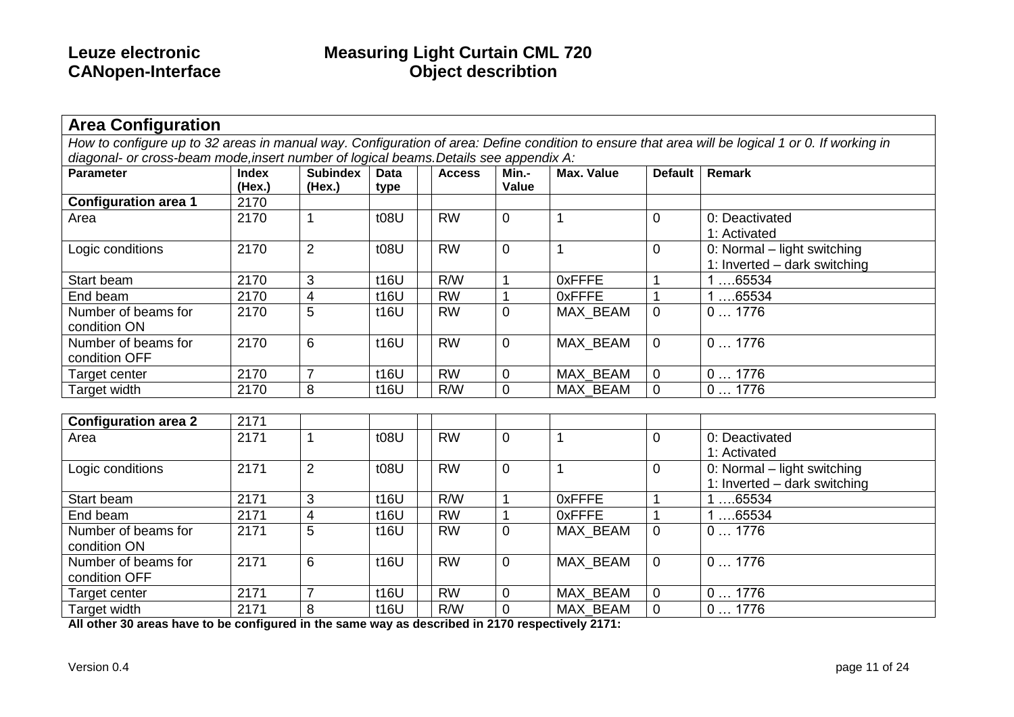| <b>Area Configuration</b>                                                             |              |                 |             |               |                |                   |                |                                                                                                                                                  |
|---------------------------------------------------------------------------------------|--------------|-----------------|-------------|---------------|----------------|-------------------|----------------|--------------------------------------------------------------------------------------------------------------------------------------------------|
|                                                                                       |              |                 |             |               |                |                   |                | How to configure up to 32 areas in manual way. Configuration of area: Define condition to ensure that area will be logical 1 or 0. If working in |
| diagonal- or cross-beam mode, insert number of logical beams. Details see appendix A: |              |                 |             |               |                |                   |                |                                                                                                                                                  |
| <b>Parameter</b>                                                                      | <b>Index</b> | <b>Subindex</b> | <b>Data</b> | <b>Access</b> | Min.-          | <b>Max. Value</b> | <b>Default</b> | Remark                                                                                                                                           |
|                                                                                       | (Hex.)       | (Hex.)          | type        |               | Value          |                   |                |                                                                                                                                                  |
| <b>Configuration area 1</b>                                                           | 2170         |                 |             |               |                |                   |                |                                                                                                                                                  |
| Area                                                                                  | 2170         | $\overline{1}$  | t08U        | <b>RW</b>     | $\mathbf 0$    |                   | 0              | 0: Deactivated                                                                                                                                   |
|                                                                                       |              |                 |             |               |                |                   |                | 1: Activated                                                                                                                                     |
| Logic conditions                                                                      | 2170         | $\overline{2}$  | t08U        | <b>RW</b>     | $\overline{0}$ | 1                 | 0              | 0: Normal - light switching                                                                                                                      |
|                                                                                       |              |                 |             |               |                |                   |                | 1: Inverted - dark switching                                                                                                                     |
| Start beam                                                                            | 2170         | 3               | t16U        | R/W           |                | <b>OxFFFE</b>     |                | 1 65534                                                                                                                                          |
| End beam                                                                              | 2170         | $\overline{4}$  | t16U        | RW            | $\mathbf 1$    | 0xFFFE            |                | 165534                                                                                                                                           |
| Number of beams for                                                                   | 2170         | 5               | t16U        | <b>RW</b>     | $\mathbf 0$    | MAX_BEAM          | 0              | 01776                                                                                                                                            |
| condition ON                                                                          |              |                 |             |               |                |                   |                |                                                                                                                                                  |
| Number of beams for                                                                   | 2170         | 6               | t16U        | <b>RW</b>     | $\mathbf 0$    | MAX_BEAM          | 0              | 01776                                                                                                                                            |
| condition OFF                                                                         |              |                 |             |               |                |                   |                |                                                                                                                                                  |
| Target center                                                                         | 2170         | $\overline{7}$  | t16U        | <b>RW</b>     | $\mathbf 0$    | MAX BEAM          | 0              | 01776                                                                                                                                            |
| <b>Target width</b>                                                                   | 2170         | 8               | t16U        | R/W           | $\mathbf 0$    | MAX BEAM          | $\Omega$       | 01776                                                                                                                                            |
|                                                                                       |              |                 |             |               |                |                   |                |                                                                                                                                                  |
| <b>Configuration area 2</b>                                                           | 2171         |                 |             |               |                |                   |                |                                                                                                                                                  |
| Area                                                                                  | 2171         | 1               | t08U        | <b>RW</b>     | $\mathbf 0$    | 1                 | 0              | 0: Deactivated                                                                                                                                   |
|                                                                                       |              |                 |             |               |                |                   |                | 1: Activated                                                                                                                                     |
| Logic conditions                                                                      | 2171         | $\overline{2}$  | t08U        | <b>RW</b>     | $\overline{0}$ | 1                 | 0              | 0: Normal - light switching                                                                                                                      |
|                                                                                       |              |                 |             |               |                |                   |                | 1: Inverted - dark switching                                                                                                                     |
| Start beam                                                                            | 2171         | 3               | t16U        | R/W           |                | <b>OxFFFE</b>     |                | 165534                                                                                                                                           |
| End beam                                                                              | 2171         | $\overline{4}$  | t16U        | RW            |                | 0xFFFE            |                | 165534                                                                                                                                           |
| Number of beams for                                                                   | 2171         | 5               | t16U        | <b>RW</b>     | $\mathbf 0$    | MAX_BEAM          | 0              | 01776                                                                                                                                            |
| condition ON                                                                          |              |                 |             |               |                |                   |                |                                                                                                                                                  |
| Number of beams for                                                                   | 2171         | 6               | t16U        | <b>RW</b>     | $\overline{0}$ | MAX BEAM          | $\Omega$       | 01776                                                                                                                                            |
| condition OFF                                                                         |              |                 |             |               |                |                   |                |                                                                                                                                                  |
| Target center                                                                         | 2171         | $\overline{7}$  | t16U        | <b>RW</b>     | $\mathbf 0$    | MAX_BEAM          | 0              | 01776                                                                                                                                            |
| Target width                                                                          | 2171         | 8               | t16U        | R/W           | $\overline{0}$ | MAX BEAM          | $\Omega$       | 01776                                                                                                                                            |

**All other 30 areas have to be configured in the same way as described in 2170 respectively 2171:**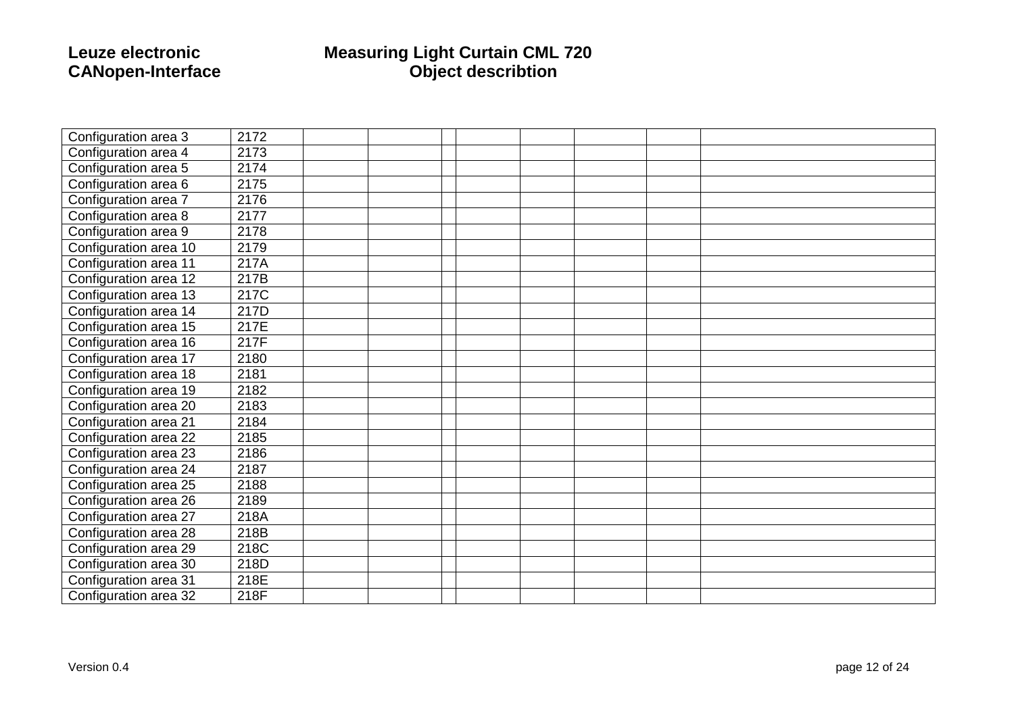## **CANopen**

### **Leuze electronic Measuring Light Curtain CML 720 -Interface Object describtion**

| Configuration area 3  | 2172 |  |  |  |  |
|-----------------------|------|--|--|--|--|
| Configuration area 4  | 2173 |  |  |  |  |
| Configuration area 5  | 2174 |  |  |  |  |
| Configuration area 6  | 2175 |  |  |  |  |
| Configuration area 7  | 2176 |  |  |  |  |
| Configuration area 8  | 2177 |  |  |  |  |
| Configuration area 9  | 2178 |  |  |  |  |
| Configuration area 10 | 2179 |  |  |  |  |
| Configuration area 11 | 217A |  |  |  |  |
| Configuration area 12 | 217B |  |  |  |  |
| Configuration area 13 | 217C |  |  |  |  |
| Configuration area 14 | 217D |  |  |  |  |
| Configuration area 15 | 217E |  |  |  |  |
| Configuration area 16 | 217F |  |  |  |  |
| Configuration area 17 | 2180 |  |  |  |  |
| Configuration area 18 | 2181 |  |  |  |  |
| Configuration area 19 | 2182 |  |  |  |  |
| Configuration area 20 | 2183 |  |  |  |  |
| Configuration area 21 | 2184 |  |  |  |  |
| Configuration area 22 | 2185 |  |  |  |  |
| Configuration area 23 | 2186 |  |  |  |  |
| Configuration area 24 | 2187 |  |  |  |  |
| Configuration area 25 | 2188 |  |  |  |  |
| Configuration area 26 | 2189 |  |  |  |  |
| Configuration area 27 | 218A |  |  |  |  |
| Configuration area 28 | 218B |  |  |  |  |
| Configuration area 29 | 218C |  |  |  |  |
| Configuration area 30 | 218D |  |  |  |  |
| Configuration area 31 | 218E |  |  |  |  |
| Configuration area 32 | 218F |  |  |  |  |
|                       |      |  |  |  |  |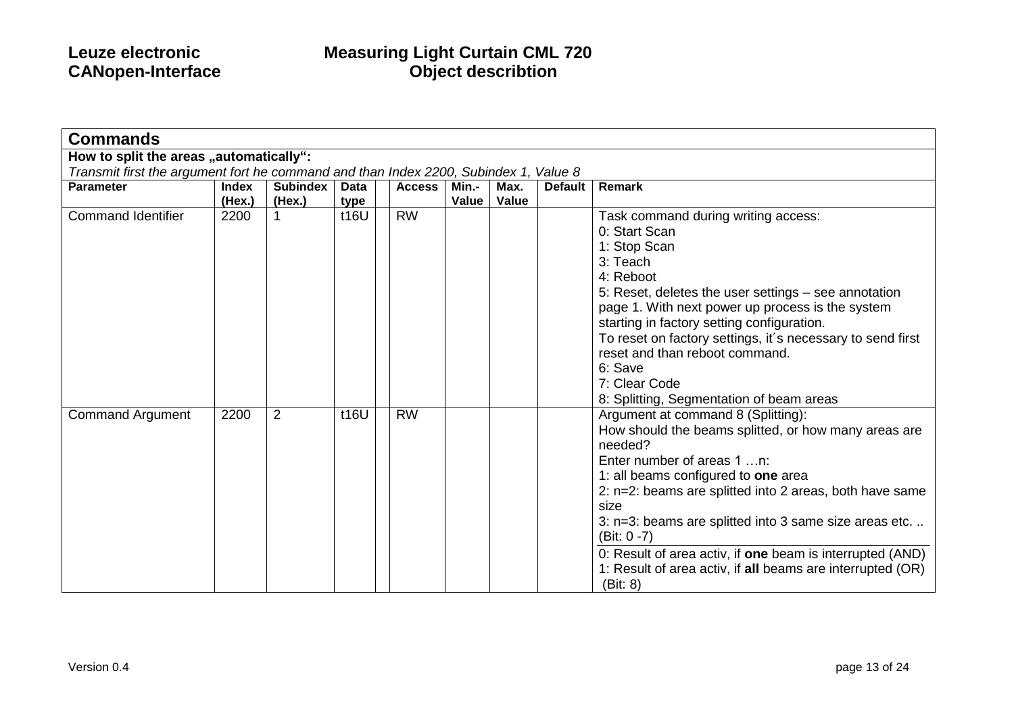| <b>Commands</b>                                                                      |                        |                           |              |               |                |               |                |                                                                                                                                                                                                                                                                                                                                                                                                                                                                  |
|--------------------------------------------------------------------------------------|------------------------|---------------------------|--------------|---------------|----------------|---------------|----------------|------------------------------------------------------------------------------------------------------------------------------------------------------------------------------------------------------------------------------------------------------------------------------------------------------------------------------------------------------------------------------------------------------------------------------------------------------------------|
| How to split the areas "automatically":                                              |                        |                           |              |               |                |               |                |                                                                                                                                                                                                                                                                                                                                                                                                                                                                  |
| Transmit first the argument fort he command and than Index 2200, Subindex 1, Value 8 |                        |                           |              |               |                |               |                |                                                                                                                                                                                                                                                                                                                                                                                                                                                                  |
| <b>Parameter</b>                                                                     | <b>Index</b><br>(Hex.) | <b>Subindex</b><br>(Hex.) | Data<br>type | <b>Access</b> | Min.-<br>Value | Max.<br>Value | <b>Default</b> | <b>Remark</b>                                                                                                                                                                                                                                                                                                                                                                                                                                                    |
| <b>Command Identifier</b>                                                            | 2200                   |                           | t16U         | <b>RW</b>     |                |               |                | Task command during writing access:<br>0: Start Scan<br>1: Stop Scan<br>3: Teach<br>4: Reboot<br>5: Reset, deletes the user settings - see annotation<br>page 1. With next power up process is the system<br>starting in factory setting configuration.<br>To reset on factory settings, it's necessary to send first<br>reset and than reboot command.<br>6: Save<br>7: Clear Code<br>8: Splitting, Segmentation of beam areas                                  |
| <b>Command Argument</b>                                                              | 2200                   | 2                         | t16U         | <b>RW</b>     |                |               |                | Argument at command 8 (Splitting):<br>How should the beams splitted, or how many areas are<br>needed?<br>Enter number of areas 1 n:<br>1: all beams configured to one area<br>2: n=2: beams are splitted into 2 areas, both have same<br>size<br>3: n=3: beams are splitted into 3 same size areas etc.<br>$(Bit: 0 - 7)$<br>0: Result of area activ, if one beam is interrupted (AND)<br>1: Result of area activ, if all beams are interrupted (OR)<br>(Bit: 8) |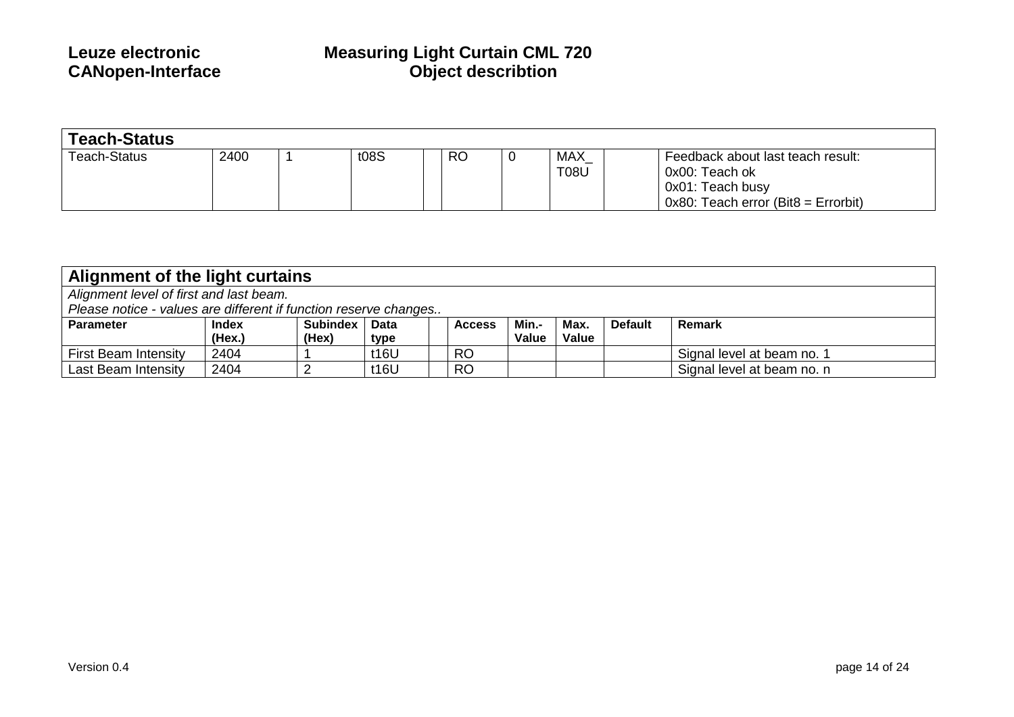| <b>Teach-Status</b> |      |  |      |           |  |                     |                                                                                                                      |
|---------------------|------|--|------|-----------|--|---------------------|----------------------------------------------------------------------------------------------------------------------|
| Teach-Status        | 2400 |  | t08S | <b>RO</b> |  | MAX_<br><b>T08U</b> | Feedback about last teach result:<br>0x00: Teach ok<br>0x01: Teach busy<br>$0x80$ : Teach error (Bit $8 =$ Errorbit) |

| Alignment of the light curtains                                  |              |                 |             |               |       |       |                |                            |
|------------------------------------------------------------------|--------------|-----------------|-------------|---------------|-------|-------|----------------|----------------------------|
| Alignment level of first and last beam.                          |              |                 |             |               |       |       |                |                            |
| Please notice - values are different if function reserve changes |              |                 |             |               |       |       |                |                            |
| <b>Parameter</b>                                                 | <b>Index</b> | <b>Subindex</b> | <b>Data</b> | <b>Access</b> | Min.- | Max.  | <b>Default</b> | Remark                     |
|                                                                  | (Hex.)       | (Hex)           | type        |               | Value | Value |                |                            |
| <b>First Beam Intensity</b>                                      | 2404         |                 | t16U        | <b>RO</b>     |       |       |                | Signal level at beam no. 1 |
| Last Beam Intensity                                              | 2404         |                 | t16U        | <b>RO</b>     |       |       |                | Signal level at beam no. n |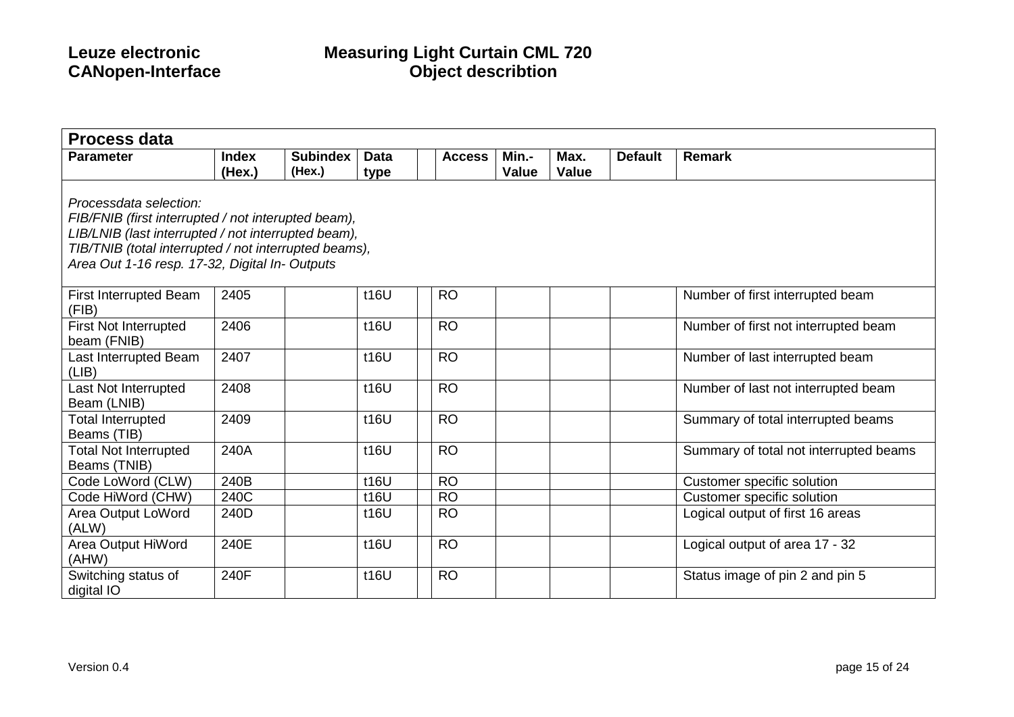| <b>Process data</b>                                                                                                                                                                                                                             |              |                 |             |               |              |              |                |                                        |
|-------------------------------------------------------------------------------------------------------------------------------------------------------------------------------------------------------------------------------------------------|--------------|-----------------|-------------|---------------|--------------|--------------|----------------|----------------------------------------|
| <b>Parameter</b>                                                                                                                                                                                                                                | <b>Index</b> | <b>Subindex</b> | <b>Data</b> | <b>Access</b> | Min.-        | Max.         | <b>Default</b> | <b>Remark</b>                          |
|                                                                                                                                                                                                                                                 | (Hex.)       | (Hex.)          | type        |               | <b>Value</b> | <b>Value</b> |                |                                        |
| Processdata selection:<br>FIB/FNIB (first interrupted / not interupted beam),<br>LIB/LNIB (last interrupted / not interrupted beam),<br>TIB/TNIB (total interrupted / not interrupted beams),<br>Area Out 1-16 resp. 17-32, Digital In- Outputs |              |                 |             |               |              |              |                |                                        |
| First Interrupted Beam<br>(FIB)                                                                                                                                                                                                                 | 2405         |                 | t16U        | <b>RO</b>     |              |              |                | Number of first interrupted beam       |
| <b>First Not Interrupted</b><br>beam (FNIB)                                                                                                                                                                                                     | 2406         |                 | t16U        | <b>RO</b>     |              |              |                | Number of first not interrupted beam   |
| Last Interrupted Beam<br>(LIB)                                                                                                                                                                                                                  | 2407         |                 | t16U        | <b>RO</b>     |              |              |                | Number of last interrupted beam        |
| Last Not Interrupted<br>Beam (LNIB)                                                                                                                                                                                                             | 2408         |                 | t16U        | <b>RO</b>     |              |              |                | Number of last not interrupted beam    |
| <b>Total Interrupted</b><br>Beams (TIB)                                                                                                                                                                                                         | 2409         |                 | t16U        | <b>RO</b>     |              |              |                | Summary of total interrupted beams     |
| <b>Total Not Interrupted</b><br>Beams (TNIB)                                                                                                                                                                                                    | 240A         |                 | t16U        | <b>RO</b>     |              |              |                | Summary of total not interrupted beams |
| Code LoWord (CLW)                                                                                                                                                                                                                               | 240B         |                 | t16U        | <b>RO</b>     |              |              |                | Customer specific solution             |
| Code HiWord (CHW)                                                                                                                                                                                                                               | 240C         |                 | t16U        | <b>RO</b>     |              |              |                | Customer specific solution             |
| Area Output LoWord<br>(ALW)                                                                                                                                                                                                                     | 240D         |                 | t16U        | <b>RO</b>     |              |              |                | Logical output of first 16 areas       |
| Area Output HiWord<br>(AHW)                                                                                                                                                                                                                     | 240E         |                 | t16U        | <b>RO</b>     |              |              |                | Logical output of area 17 - 32         |
| Switching status of<br>digital IO                                                                                                                                                                                                               | 240F         |                 | t16U        | <b>RO</b>     |              |              |                | Status image of pin 2 and pin 5        |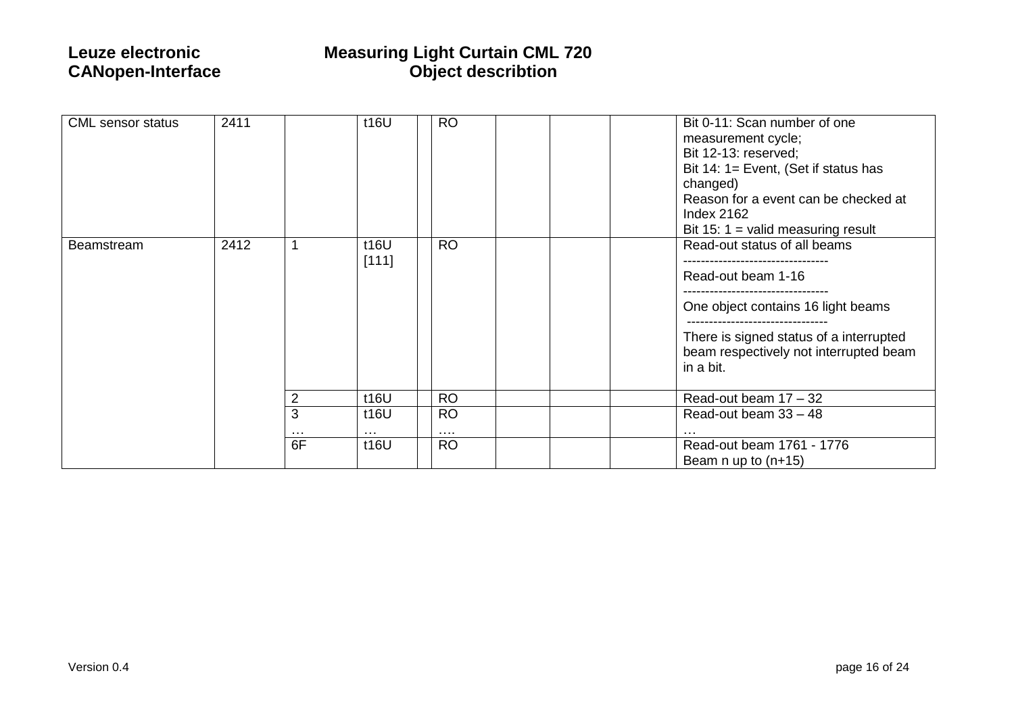| <b>CML</b> sensor status | 2411 |                | t16U                         | <b>RO</b>             | Bit 0-11: Scan number of one<br>measurement cycle;<br>Bit 12-13: reserved;<br>Bit 14: $1 =$ Event, (Set if status has<br>changed)<br>Reason for a event can be checked at<br><b>Index 2162</b><br>Bit 15: 1 = valid measuring result |
|--------------------------|------|----------------|------------------------------|-----------------------|--------------------------------------------------------------------------------------------------------------------------------------------------------------------------------------------------------------------------------------|
| Beamstream               | 2412 |                | t16U<br>[111]                | <b>RO</b>             | Read-out status of all beams<br>Read-out beam 1-16<br>One object contains 16 light beams<br>----------------------<br>There is signed status of a interrupted<br>beam respectively not interrupted beam<br>in a bit.                 |
|                          |      | $\overline{2}$ | t16U                         | <b>RO</b>             | Read-out beam 17 - 32                                                                                                                                                                                                                |
|                          |      | 3<br>$\cdots$  | t16U<br>$\sim$ $\sim$ $\sim$ | <b>RO</b><br>$\cdots$ | Read-out beam $33 - 48$                                                                                                                                                                                                              |
|                          |      | 6F             | t16U                         | <b>RO</b>             | Read-out beam 1761 - 1776<br>Beam $n$ up to $(n+15)$                                                                                                                                                                                 |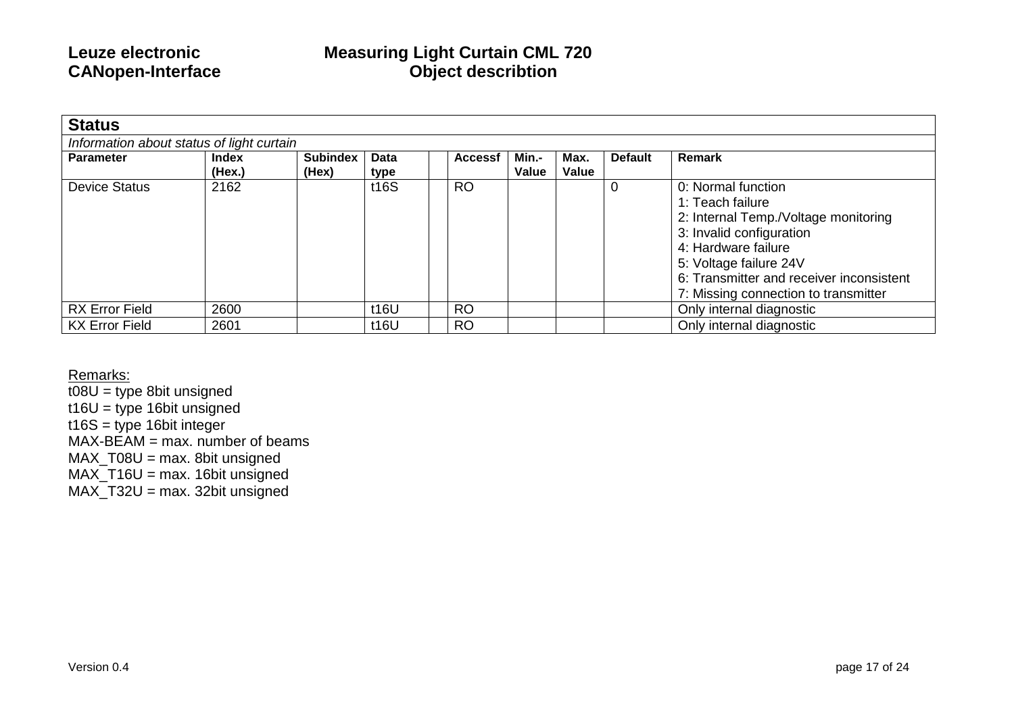| <b>Status</b>                             |                        |                          |              |                |                |               |                |                                                                                                                                                                                                                                                 |
|-------------------------------------------|------------------------|--------------------------|--------------|----------------|----------------|---------------|----------------|-------------------------------------------------------------------------------------------------------------------------------------------------------------------------------------------------------------------------------------------------|
| Information about status of light curtain |                        |                          |              |                |                |               |                |                                                                                                                                                                                                                                                 |
| <b>Parameter</b>                          | <b>Index</b><br>(Hex.) | <b>Subindex</b><br>(Hex) | Data<br>type | <b>Accessf</b> | Min -<br>Value | Max.<br>Value | <b>Default</b> | Remark                                                                                                                                                                                                                                          |
| <b>Device Status</b>                      | 2162                   |                          | t16S         | <b>RO</b>      |                |               |                | 0: Normal function<br>1: Teach failure<br>2: Internal Temp./Voltage monitoring<br>3: Invalid configuration<br>4: Hardware failure<br>5: Voltage failure 24V<br>6: Transmitter and receiver inconsistent<br>7: Missing connection to transmitter |
| <b>RX Error Field</b>                     | 2600                   |                          | t16U         | <b>RO</b>      |                |               |                | Only internal diagnostic                                                                                                                                                                                                                        |
| <b>KX Error Field</b>                     | 2601                   |                          | t16U         | <b>RO</b>      |                |               |                | Only internal diagnostic                                                                                                                                                                                                                        |

Remarks:

 $\overline{t08U}$  = type 8bit unsigned t16U = type 16bit unsigned  $t16S =$  type 16bit integer  $MAX-BEAM = max.$  number of beams MAX\_T08U = max. 8bit unsigned MAX\_T16U = max. 16bit unsigned MAX\_T32U = max. 32bit unsigned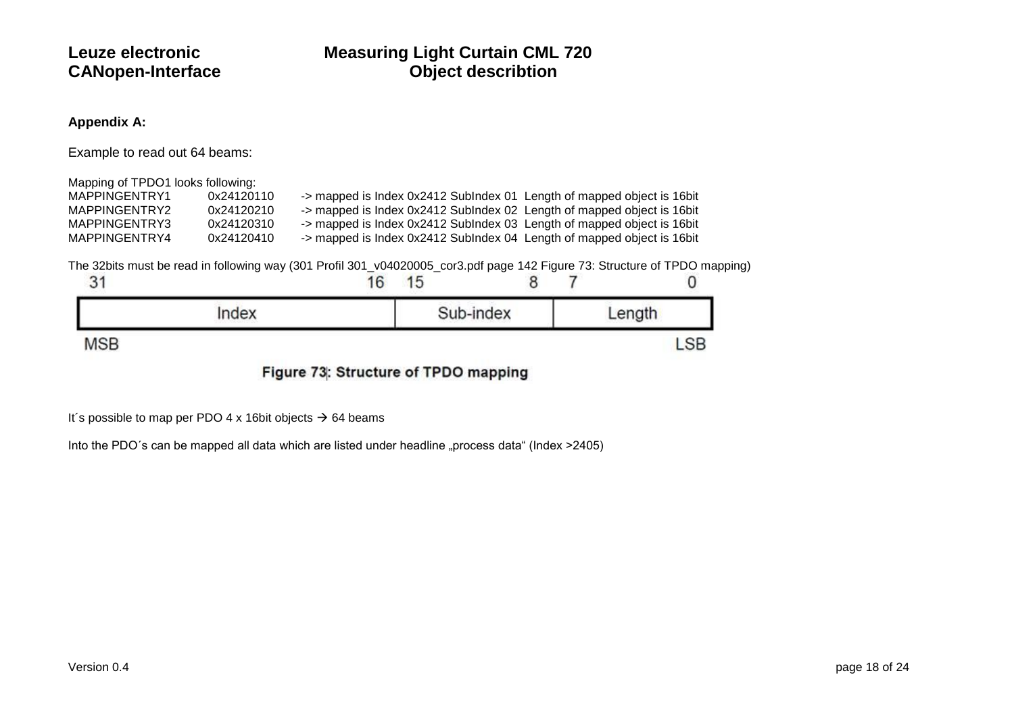### **Appendix A:**

Example to read out 64 beams:

| Mapping of TPDO1 looks following: |            |                                                                         |  |
|-----------------------------------|------------|-------------------------------------------------------------------------|--|
| MAPPINGENTRY1                     | 0x24120110 | -> mapped is Index 0x2412 Sublndex 01 Length of mapped object is 16 bit |  |
| MAPPINGENTRY2                     | 0x24120210 | -> mapped is Index 0x2412 Sublndex 02 Length of mapped object is 16 bit |  |
| MAPPINGENTRY3                     | 0x24120310 | -> mapped is Index 0x2412 Sublndex 03 Length of mapped object is 16 bit |  |
| MAPPINGENTRY4                     | 0x24120410 | -> mapped is Index 0x2412 SubIndex 04 Length of mapped object is 16 bit |  |

The 32bits must be read in following way (301 Profil 301\_v04020005\_cor3.pdf page 142 Figure 73: Structure of TPDO mapping)

| ◡                        | 16 | 15 |           |        |
|--------------------------|----|----|-----------|--------|
| ndex<br>지갑하면 어려워서 아이가    |    |    | Sub-index | .enath |
| <b>MSB</b><br>$\cdots -$ |    |    |           |        |

Figure 73: Structure of TPDO mapping

It's possible to map per PDO 4 x 16bit objects  $\rightarrow$  64 beams

Into the PDO's can be mapped all data which are listed under headline "process data" (Index >2405)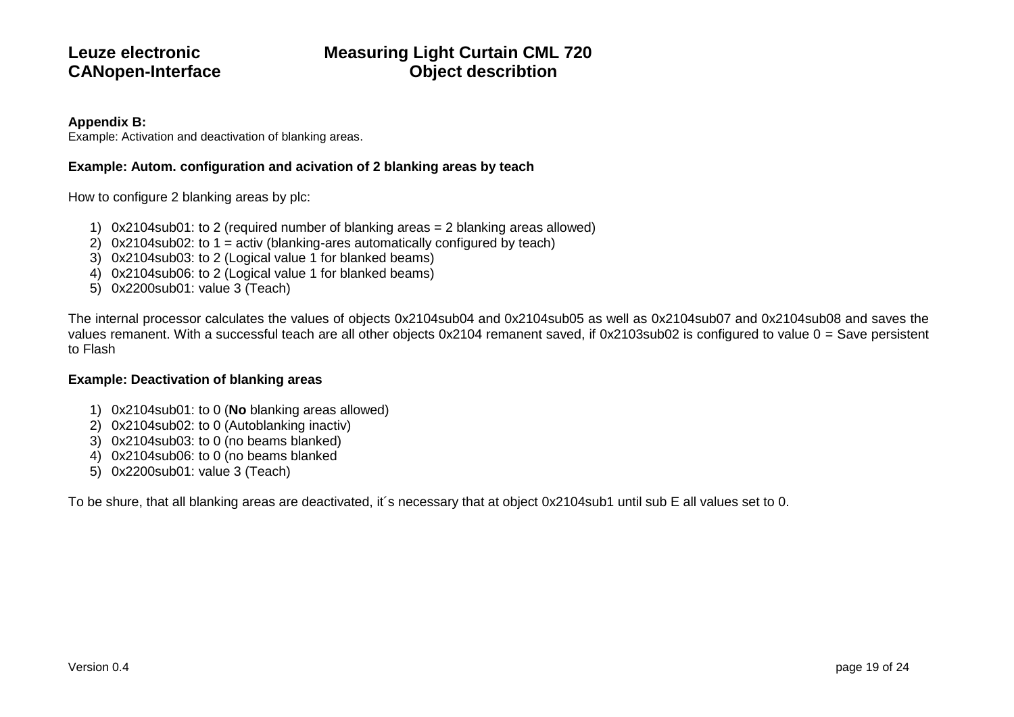### **Appendix B:**

Example: Activation and deactivation of blanking areas.

### **Example: Autom. configuration and acivation of 2 blanking areas by teach**

How to configure 2 blanking areas by plc:

- 1) 0x2104sub01: to 2 (required number of blanking areas = 2 blanking areas allowed)
- 2) 0x2104sub02: to 1 = activ (blanking-ares automatically configured by teach)
- 3) 0x2104sub03: to 2 (Logical value 1 for blanked beams)
- 4) 0x2104sub06: to 2 (Logical value 1 for blanked beams)
- 5) 0x2200sub01: value 3 (Teach)

The internal processor calculates the values of objects 0x2104sub04 and 0x2104sub05 as well as 0x2104sub07 and 0x2104sub08 and saves the values remanent. With a successful teach are all other objects 0x2104 remanent saved, if 0x2103sub02 is configured to value 0 = Save persistent to Flash

### **Example: Deactivation of blanking areas**

- 1) 0x2104sub01: to 0 (**No** blanking areas allowed)
- 2) 0x2104sub02: to 0 (Autoblanking inactiv)
- 3) 0x2104sub03: to 0 (no beams blanked)
- 4) 0x2104sub06: to 0 (no beams blanked
- 5) 0x2200sub01: value 3 (Teach)

To be shure, that all blanking areas are deactivated, it´s necessary that at object 0x2104sub1 until sub E all values set to 0.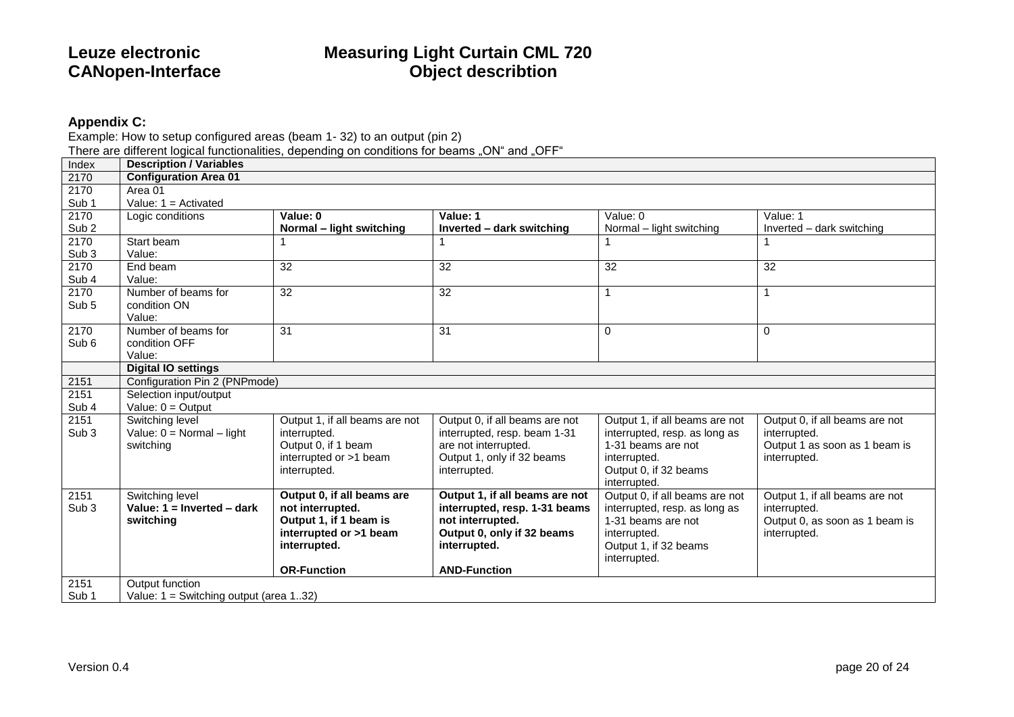### **Appendix C:**

Example: How to setup configured areas (beam 1- 32) to an output (pin 2)

There are different logical functionalities, depending on conditions for beams "ON" and "OFF"

| Index            | <b>Description / Variables</b>         |                                |                                |                                |                                |
|------------------|----------------------------------------|--------------------------------|--------------------------------|--------------------------------|--------------------------------|
| 2170             | <b>Configuration Area 01</b>           |                                |                                |                                |                                |
| 2170             | Area 01                                |                                |                                |                                |                                |
| Sub <sub>1</sub> | Value: $1 =$ Activated                 |                                |                                |                                |                                |
| 2170             | Logic conditions                       | Value: 0                       | Value: 1                       | Value: 0                       | Value: 1                       |
| Sub <sub>2</sub> |                                        | Normal – light switching       | Inverted - dark switching      | Normal - light switching       | Inverted - dark switching      |
| 2170             | Start beam                             |                                |                                |                                |                                |
| Sub <sub>3</sub> | Value:                                 |                                |                                |                                |                                |
| 2170             | End beam                               | 32                             | 32                             | 32                             | 32                             |
| Sub 4            | Value:                                 |                                |                                |                                |                                |
| 2170             | Number of beams for                    | 32                             | 32                             |                                | 1                              |
| Sub <sub>5</sub> | condition ON                           |                                |                                |                                |                                |
|                  | Value:                                 |                                |                                |                                |                                |
| 2170             | Number of beams for                    | $\overline{31}$                | 31                             | $\Omega$                       | $\Omega$                       |
| Sub 6            | condition OFF                          |                                |                                |                                |                                |
|                  | Value:                                 |                                |                                |                                |                                |
|                  | <b>Digital IO settings</b>             |                                |                                |                                |                                |
| 2151             | Configuration Pin 2 (PNPmode)          |                                |                                |                                |                                |
| 2151             | Selection input/output                 |                                |                                |                                |                                |
| Sub 4            | Value: $0 =$ Output                    |                                |                                |                                |                                |
| 2151             | Switching level                        | Output 1, if all beams are not | Output 0, if all beams are not | Output 1, if all beams are not | Output 0, if all beams are not |
| Sub <sub>3</sub> | Value: $0 = Normal - light$            | interrupted.                   | interrupted, resp. beam 1-31   | interrupted, resp. as long as  | interrupted.                   |
|                  | switching                              | Output 0, if 1 beam            | are not interrupted.           | 1-31 beams are not             | Output 1 as soon as 1 beam is  |
|                  |                                        | interrupted or >1 beam         | Output 1, only if 32 beams     | interrupted.                   | interrupted.                   |
|                  |                                        | interrupted.                   | interrupted.                   | Output 0, if 32 beams          |                                |
|                  |                                        |                                |                                | interrupted.                   |                                |
| 2151             | Switching level                        | Output 0, if all beams are     | Output 1, if all beams are not | Output 0, if all beams are not | Output 1, if all beams are not |
| Sub <sub>3</sub> | Value: $1 =$ Inverted - dark           | not interrupted.               | interrupted, resp. 1-31 beams  | interrupted, resp. as long as  | interrupted.                   |
|                  | switching                              | Output 1, if 1 beam is         | not interrupted.               | 1-31 beams are not             | Output 0, as soon as 1 beam is |
|                  |                                        | interrupted or >1 beam         | Output 0, only if 32 beams     | interrupted.                   | interrupted.                   |
|                  |                                        | interrupted.                   | interrupted.                   | Output 1, if 32 beams          |                                |
|                  |                                        |                                |                                | interrupted.                   |                                |
|                  |                                        | <b>OR-Function</b>             | <b>AND-Function</b>            |                                |                                |
| 2151             | Output function                        |                                |                                |                                |                                |
| Sub <sub>1</sub> | Value: 1 = Switching output (area 132) |                                |                                |                                |                                |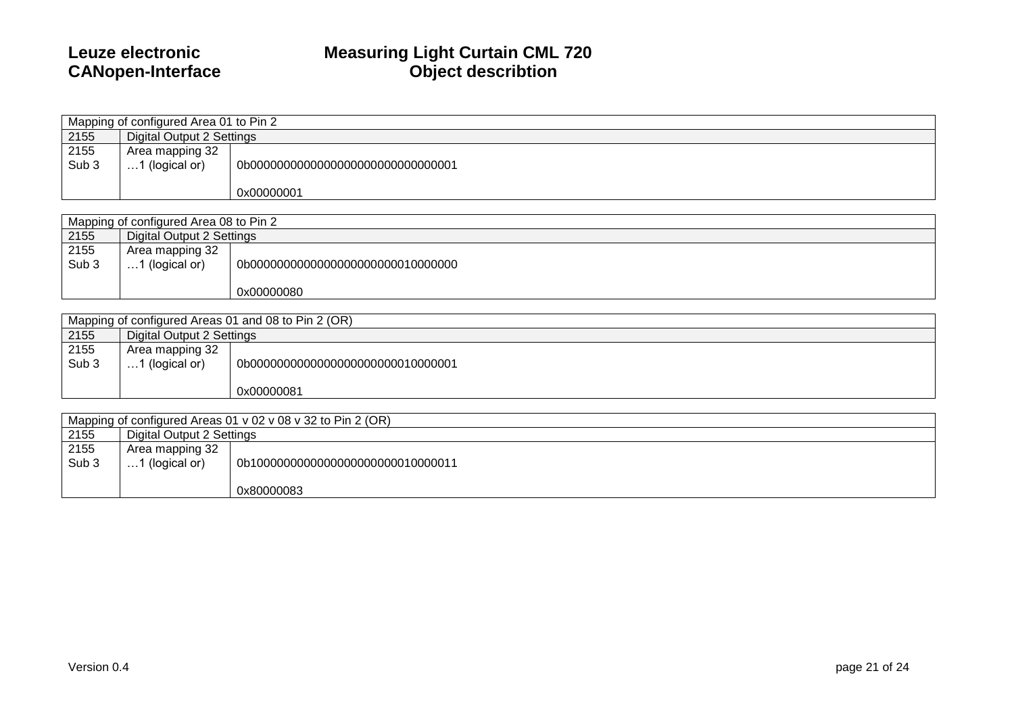|                  | Mapping of configured Area 01 to Pin 2 |                                    |  |  |  |  |
|------------------|----------------------------------------|------------------------------------|--|--|--|--|
| 2155             | Digital Output 2 Settings              |                                    |  |  |  |  |
| 2155             | Area mapping 32                        |                                    |  |  |  |  |
| Sub <sub>3</sub> | 1 (logical or)                         | 0b00000000000000000000000000000001 |  |  |  |  |
|                  |                                        | 0x00000001                         |  |  |  |  |
|                  |                                        |                                    |  |  |  |  |

|               | Mapping of configured Area 08 to Pin 2    |                                     |  |  |  |  |  |
|---------------|-------------------------------------------|-------------------------------------|--|--|--|--|--|
| 2155          | Digital Output 2 Settings                 |                                     |  |  |  |  |  |
| 2155<br>Sub 3 | Area mapping 32<br>.1 (logical or)<br>. 1 | 0b000000000000000000000000010000000 |  |  |  |  |  |
|               |                                           | 0x00000080                          |  |  |  |  |  |

| Mapping of configured Areas 01 and 08 to Pin 2 (OR) |                           |                                    |  |  |  |
|-----------------------------------------------------|---------------------------|------------------------------------|--|--|--|
| 2155                                                | Digital Output 2 Settings |                                    |  |  |  |
| 2155                                                | Area mapping 32           |                                    |  |  |  |
| Sub <sub>3</sub>                                    | $\dots$ 1 (logical or)    | 0b00000000000000000000000010000001 |  |  |  |
|                                                     |                           |                                    |  |  |  |
|                                                     |                           | 0x00000081                         |  |  |  |

| Mapping of configured Areas 01 v 02 v 08 v 32 to Pin 2 (OR) |                           |                                    |  |  |  |
|-------------------------------------------------------------|---------------------------|------------------------------------|--|--|--|
| 2155                                                        | Digital Output 2 Settings |                                    |  |  |  |
| 2155                                                        | Area mapping 32           |                                    |  |  |  |
| Sub <sub>3</sub>                                            | 1 (logical or)            | 0b10000000000000000000000010000011 |  |  |  |
|                                                             |                           | 0x80000083                         |  |  |  |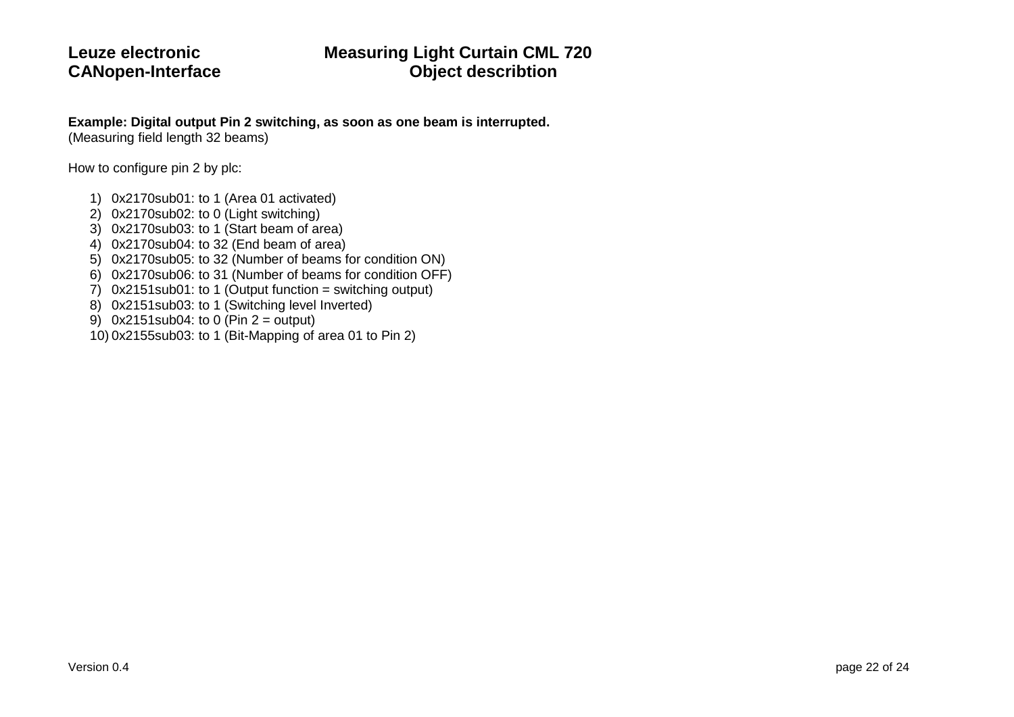### **Leuze electronic Measuring Light Curtain CML 720 CANopen-Interface Object describtion**

### **Example: Digital output Pin 2 switching, as soon as one beam is interrupted.**

(Measuring field length 32 beams)

How to configure pin 2 by plc:

- 1) 0x2170sub01: to 1 (Area 01 activated)
- 2) 0x2170sub02: to 0 (Light switching)
- 3) 0x2170sub03: to 1 (Start beam of area)
- 4) 0x2170sub04: to 32 (End beam of area)
- 5) 0x2170sub05: to 32 (Number of beams for condition ON)
- 6) 0x2170sub06: to 31 (Number of beams for condition OFF)
- 7)  $0x2151$ sub01: to 1 (Output function = switching output)
- 8) 0x2151sub03: to 1 (Switching level Inverted)
- 9) 0x2151sub04: to 0 (Pin 2 = output)
- 10) 0x2155sub03: to 1 (Bit-Mapping of area 01 to Pin 2)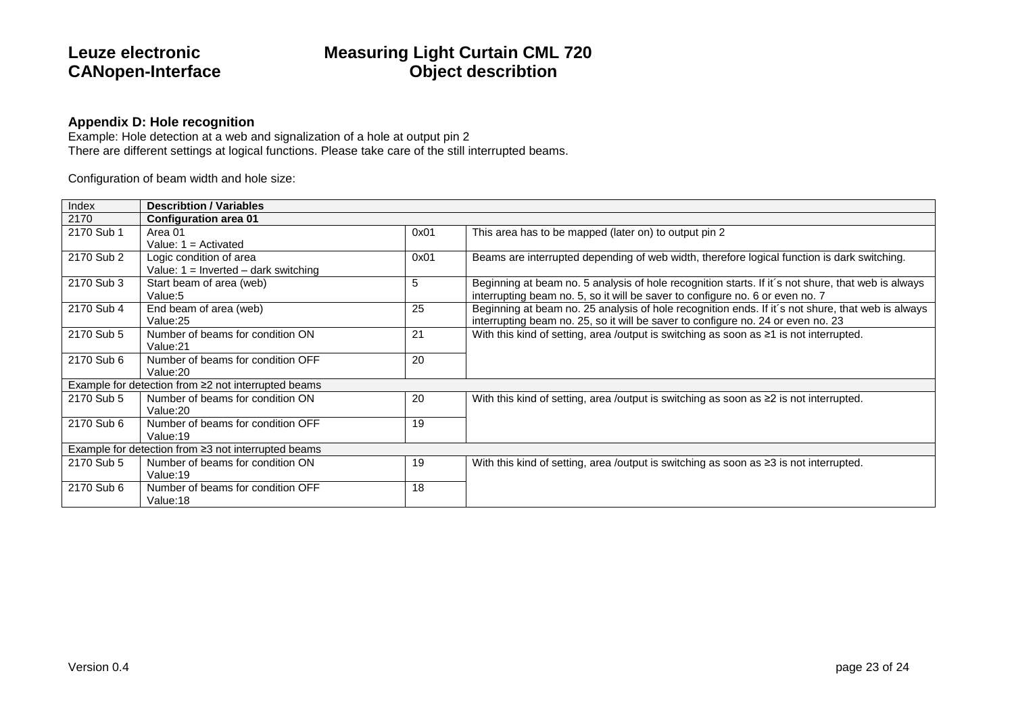### **Appendix D: Hole recognition**

Example: Hole detection at a web and signalization of a hole at output pin 2 There are different settings at logical functions. Please take care of the still interrupted beams.

Configuration of beam width and hole size:

| Index      | <b>Describtion / Variables</b>                      |      |                                                                                                    |  |  |  |
|------------|-----------------------------------------------------|------|----------------------------------------------------------------------------------------------------|--|--|--|
| 2170       | <b>Configuration area 01</b>                        |      |                                                                                                    |  |  |  |
| 2170 Sub 1 | Area 01                                             | 0x01 | This area has to be mapped (later on) to output pin 2                                              |  |  |  |
|            | Value: $1 =$ Activated                              |      |                                                                                                    |  |  |  |
| 2170 Sub 2 | Logic condition of area                             | 0x01 | Beams are interrupted depending of web width, therefore logical function is dark switching.        |  |  |  |
|            | Value: $1 =$ Inverted – dark switching              |      |                                                                                                    |  |  |  |
| 2170 Sub 3 | Start beam of area (web)                            | 5    | Beginning at beam no. 5 analysis of hole recognition starts. If it's not shure, that web is always |  |  |  |
|            | Value:5                                             |      | interrupting beam no. 5, so it will be saver to configure no. 6 or even no. 7                      |  |  |  |
| 2170 Sub 4 | End beam of area (web)                              | 25   | Beginning at beam no. 25 analysis of hole recognition ends. If it's not shure, that web is always  |  |  |  |
|            | Value:25                                            |      | interrupting beam no. 25, so it will be saver to configure no. 24 or even no. 23                   |  |  |  |
| 2170 Sub 5 | Number of beams for condition ON                    | 21   | With this kind of setting, area /output is switching as soon as $\geq 1$ is not interrupted.       |  |  |  |
|            | Value:21                                            |      |                                                                                                    |  |  |  |
| 2170 Sub 6 | Number of beams for condition OFF                   | 20   |                                                                                                    |  |  |  |
|            | Value:20                                            |      |                                                                                                    |  |  |  |
|            | Example for detection from ≥2 not interrupted beams |      |                                                                                                    |  |  |  |
| 2170 Sub 5 | Number of beams for condition ON                    | 20   | With this kind of setting, area /output is switching as soon as $\geq 2$ is not interrupted.       |  |  |  |
|            | Value:20                                            |      |                                                                                                    |  |  |  |
| 2170 Sub 6 | Number of beams for condition OFF                   | 19   |                                                                                                    |  |  |  |
|            | Value:19                                            |      |                                                                                                    |  |  |  |
|            | Example for detection from ≥3 not interrupted beams |      |                                                                                                    |  |  |  |
| 2170 Sub 5 | Number of beams for condition ON                    | 19   | With this kind of setting, area /output is switching as soon as $\geq 3$ is not interrupted.       |  |  |  |
|            | Value:19                                            |      |                                                                                                    |  |  |  |
| 2170 Sub 6 | Number of beams for condition OFF                   | 18   |                                                                                                    |  |  |  |
|            | Value:18                                            |      |                                                                                                    |  |  |  |